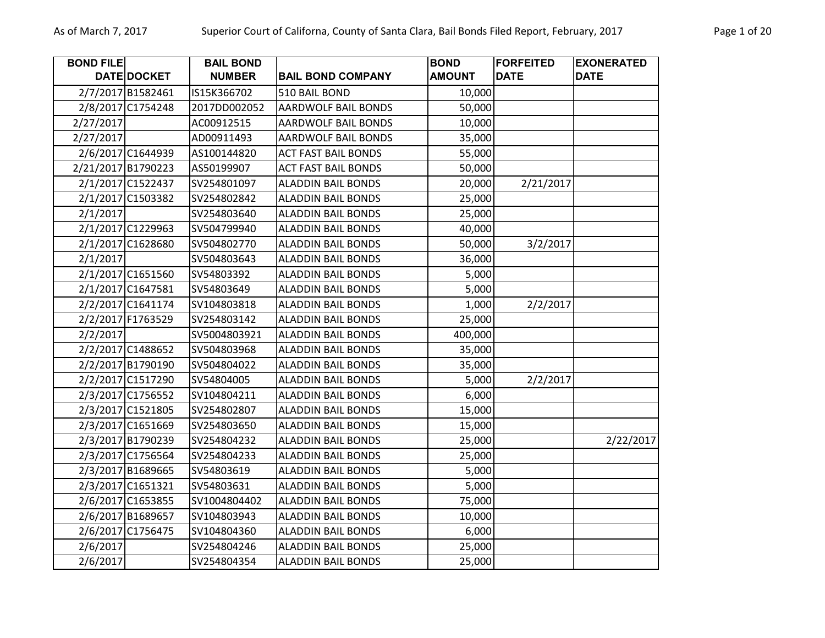| <b>BOND FILE</b>   |                   | <b>BAIL BOND</b> |                            | <b>BOND</b>   | <b>FORFEITED</b> | <b>EXONERATED</b> |
|--------------------|-------------------|------------------|----------------------------|---------------|------------------|-------------------|
|                    | DATE DOCKET       | <b>NUMBER</b>    | <b>BAIL BOND COMPANY</b>   | <b>AMOUNT</b> | <b>DATE</b>      | <b>DATE</b>       |
|                    | 2/7/2017 B1582461 | IS15K366702      | 510 BAIL BOND              | 10,000        |                  |                   |
|                    | 2/8/2017 C1754248 | 2017DD002052     | <b>AARDWOLF BAIL BONDS</b> | 50,000        |                  |                   |
| 2/27/2017          |                   | AC00912515       | AARDWOLF BAIL BONDS        | 10,000        |                  |                   |
| 2/27/2017          |                   | AD00911493       | AARDWOLF BAIL BONDS        | 35,000        |                  |                   |
|                    | 2/6/2017 C1644939 | AS100144820      | <b>ACT FAST BAIL BONDS</b> | 55,000        |                  |                   |
| 2/21/2017 B1790223 |                   | AS50199907       | <b>ACT FAST BAIL BONDS</b> | 50,000        |                  |                   |
|                    | 2/1/2017 C1522437 | SV254801097      | <b>ALADDIN BAIL BONDS</b>  | 20,000        | 2/21/2017        |                   |
|                    | 2/1/2017 C1503382 | SV254802842      | <b>ALADDIN BAIL BONDS</b>  | 25,000        |                  |                   |
| 2/1/2017           |                   | SV254803640      | <b>ALADDIN BAIL BONDS</b>  | 25,000        |                  |                   |
|                    | 2/1/2017 C1229963 | SV504799940      | <b>ALADDIN BAIL BONDS</b>  | 40,000        |                  |                   |
|                    | 2/1/2017 C1628680 | SV504802770      | <b>ALADDIN BAIL BONDS</b>  | 50,000        | 3/2/2017         |                   |
| 2/1/2017           |                   | SV504803643      | <b>ALADDIN BAIL BONDS</b>  | 36,000        |                  |                   |
|                    | 2/1/2017 C1651560 | SV54803392       | <b>ALADDIN BAIL BONDS</b>  | 5,000         |                  |                   |
|                    | 2/1/2017 C1647581 | SV54803649       | <b>ALADDIN BAIL BONDS</b>  | 5,000         |                  |                   |
|                    | 2/2/2017 C1641174 | SV104803818      | <b>ALADDIN BAIL BONDS</b>  | 1,000         | 2/2/2017         |                   |
|                    | 2/2/2017 F1763529 | SV254803142      | <b>ALADDIN BAIL BONDS</b>  | 25,000        |                  |                   |
| 2/2/2017           |                   | SV5004803921     | <b>ALADDIN BAIL BONDS</b>  | 400,000       |                  |                   |
|                    | 2/2/2017 C1488652 | SV504803968      | <b>ALADDIN BAIL BONDS</b>  | 35,000        |                  |                   |
|                    | 2/2/2017 B1790190 | SV504804022      | <b>ALADDIN BAIL BONDS</b>  | 35,000        |                  |                   |
|                    | 2/2/2017 C1517290 | SV54804005       | <b>ALADDIN BAIL BONDS</b>  | 5,000         | 2/2/2017         |                   |
|                    | 2/3/2017 C1756552 | SV104804211      | <b>ALADDIN BAIL BONDS</b>  | 6,000         |                  |                   |
|                    | 2/3/2017 C1521805 | SV254802807      | <b>ALADDIN BAIL BONDS</b>  | 15,000        |                  |                   |
|                    | 2/3/2017 C1651669 | SV254803650      | <b>ALADDIN BAIL BONDS</b>  | 15,000        |                  |                   |
|                    | 2/3/2017 B1790239 | SV254804232      | <b>ALADDIN BAIL BONDS</b>  | 25,000        |                  | 2/22/2017         |
|                    | 2/3/2017 C1756564 | SV254804233      | <b>ALADDIN BAIL BONDS</b>  | 25,000        |                  |                   |
|                    | 2/3/2017 B1689665 | SV54803619       | <b>ALADDIN BAIL BONDS</b>  | 5,000         |                  |                   |
|                    | 2/3/2017 C1651321 | SV54803631       | <b>ALADDIN BAIL BONDS</b>  | 5,000         |                  |                   |
|                    | 2/6/2017 C1653855 | SV1004804402     | <b>ALADDIN BAIL BONDS</b>  | 75,000        |                  |                   |
|                    | 2/6/2017 B1689657 | SV104803943      | <b>ALADDIN BAIL BONDS</b>  | 10,000        |                  |                   |
|                    | 2/6/2017 C1756475 | SV104804360      | <b>ALADDIN BAIL BONDS</b>  | 6,000         |                  |                   |
| 2/6/2017           |                   | SV254804246      | <b>ALADDIN BAIL BONDS</b>  | 25,000        |                  |                   |
| 2/6/2017           |                   | SV254804354      | <b>ALADDIN BAIL BONDS</b>  | 25,000        |                  |                   |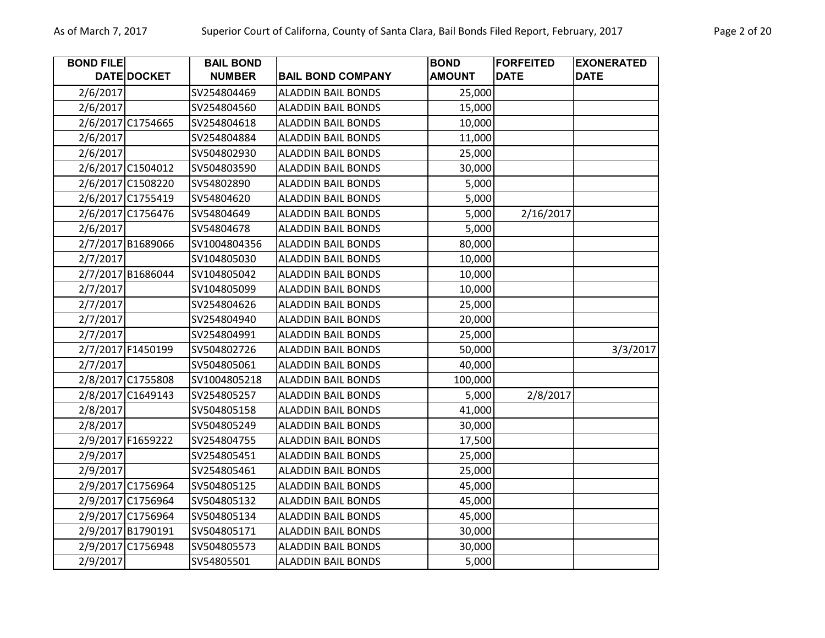| <b>BOND FILE</b> |                   | <b>BAIL BOND</b> |                           | <b>BOND</b>   | <b>FORFEITED</b> | <b>EXONERATED</b> |
|------------------|-------------------|------------------|---------------------------|---------------|------------------|-------------------|
|                  | DATE DOCKET       | <b>NUMBER</b>    | <b>BAIL BOND COMPANY</b>  | <b>AMOUNT</b> | <b>DATE</b>      | <b>DATE</b>       |
| 2/6/2017         |                   | SV254804469      | <b>ALADDIN BAIL BONDS</b> | 25,000        |                  |                   |
| 2/6/2017         |                   | SV254804560      | <b>ALADDIN BAIL BONDS</b> | 15,000        |                  |                   |
|                  | 2/6/2017 C1754665 | SV254804618      | <b>ALADDIN BAIL BONDS</b> | 10,000        |                  |                   |
| 2/6/2017         |                   | SV254804884      | <b>ALADDIN BAIL BONDS</b> | 11,000        |                  |                   |
| 2/6/2017         |                   | SV504802930      | <b>ALADDIN BAIL BONDS</b> | 25,000        |                  |                   |
|                  | 2/6/2017 C1504012 | SV504803590      | <b>ALADDIN BAIL BONDS</b> | 30,000        |                  |                   |
|                  | 2/6/2017 C1508220 | SV54802890       | <b>ALADDIN BAIL BONDS</b> | 5,000         |                  |                   |
|                  | 2/6/2017 C1755419 | SV54804620       | <b>ALADDIN BAIL BONDS</b> | 5,000         |                  |                   |
|                  | 2/6/2017 C1756476 | SV54804649       | <b>ALADDIN BAIL BONDS</b> | 5,000         | 2/16/2017        |                   |
| 2/6/2017         |                   | SV54804678       | <b>ALADDIN BAIL BONDS</b> | 5,000         |                  |                   |
|                  | 2/7/2017 B1689066 | SV1004804356     | <b>ALADDIN BAIL BONDS</b> | 80,000        |                  |                   |
| 2/7/2017         |                   | SV104805030      | <b>ALADDIN BAIL BONDS</b> | 10,000        |                  |                   |
|                  | 2/7/2017 B1686044 | SV104805042      | <b>ALADDIN BAIL BONDS</b> | 10,000        |                  |                   |
| 2/7/2017         |                   | SV104805099      | <b>ALADDIN BAIL BONDS</b> | 10,000        |                  |                   |
| 2/7/2017         |                   | SV254804626      | <b>ALADDIN BAIL BONDS</b> | 25,000        |                  |                   |
| 2/7/2017         |                   | SV254804940      | <b>ALADDIN BAIL BONDS</b> | 20,000        |                  |                   |
| 2/7/2017         |                   | SV254804991      | <b>ALADDIN BAIL BONDS</b> | 25,000        |                  |                   |
|                  | 2/7/2017 F1450199 | SV504802726      | <b>ALADDIN BAIL BONDS</b> | 50,000        |                  | 3/3/2017          |
| 2/7/2017         |                   | SV504805061      | <b>ALADDIN BAIL BONDS</b> | 40,000        |                  |                   |
|                  | 2/8/2017 C1755808 | SV1004805218     | <b>ALADDIN BAIL BONDS</b> | 100,000       |                  |                   |
|                  | 2/8/2017 C1649143 | SV254805257      | <b>ALADDIN BAIL BONDS</b> | 5,000         | 2/8/2017         |                   |
| 2/8/2017         |                   | SV504805158      | <b>ALADDIN BAIL BONDS</b> | 41,000        |                  |                   |
| 2/8/2017         |                   | SV504805249      | <b>ALADDIN BAIL BONDS</b> | 30,000        |                  |                   |
|                  | 2/9/2017 F1659222 | SV254804755      | <b>ALADDIN BAIL BONDS</b> | 17,500        |                  |                   |
| 2/9/2017         |                   | SV254805451      | <b>ALADDIN BAIL BONDS</b> | 25,000        |                  |                   |
| 2/9/2017         |                   | SV254805461      | <b>ALADDIN BAIL BONDS</b> | 25,000        |                  |                   |
|                  | 2/9/2017 C1756964 | SV504805125      | <b>ALADDIN BAIL BONDS</b> | 45,000        |                  |                   |
|                  | 2/9/2017 C1756964 | SV504805132      | <b>ALADDIN BAIL BONDS</b> | 45,000        |                  |                   |
|                  | 2/9/2017 C1756964 | SV504805134      | <b>ALADDIN BAIL BONDS</b> | 45,000        |                  |                   |
|                  | 2/9/2017 B1790191 | SV504805171      | <b>ALADDIN BAIL BONDS</b> | 30,000        |                  |                   |
|                  | 2/9/2017 C1756948 | SV504805573      | <b>ALADDIN BAIL BONDS</b> | 30,000        |                  |                   |
| 2/9/2017         |                   | SV54805501       | <b>ALADDIN BAIL BONDS</b> | 5,000         |                  |                   |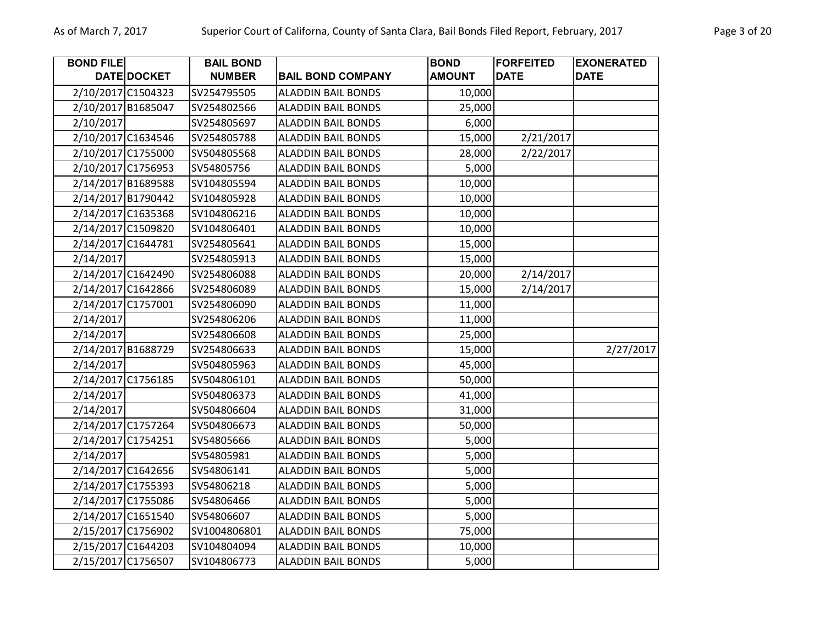| <b>BOND FILE</b> |                    | <b>BAIL BOND</b> |                           | <b>BOND</b>   | <b>FORFEITED</b> | <b>EXONERATED</b> |
|------------------|--------------------|------------------|---------------------------|---------------|------------------|-------------------|
|                  | DATE DOCKET        | <b>NUMBER</b>    | <b>BAIL BOND COMPANY</b>  | <b>AMOUNT</b> | <b>DATE</b>      | <b>DATE</b>       |
|                  | 2/10/2017 C1504323 | SV254795505      | <b>ALADDIN BAIL BONDS</b> | 10,000        |                  |                   |
|                  | 2/10/2017 B1685047 | SV254802566      | <b>ALADDIN BAIL BONDS</b> | 25,000        |                  |                   |
| 2/10/2017        |                    | SV254805697      | <b>ALADDIN BAIL BONDS</b> | 6,000         |                  |                   |
|                  | 2/10/2017 C1634546 | SV254805788      | <b>ALADDIN BAIL BONDS</b> | 15,000        | 2/21/2017        |                   |
|                  | 2/10/2017 C1755000 | SV504805568      | <b>ALADDIN BAIL BONDS</b> | 28,000        | 2/22/2017        |                   |
|                  | 2/10/2017 C1756953 | SV54805756       | <b>ALADDIN BAIL BONDS</b> | 5,000         |                  |                   |
|                  | 2/14/2017 B1689588 | SV104805594      | <b>ALADDIN BAIL BONDS</b> | 10,000        |                  |                   |
|                  | 2/14/2017 B1790442 | SV104805928      | <b>ALADDIN BAIL BONDS</b> | 10,000        |                  |                   |
|                  | 2/14/2017 C1635368 | SV104806216      | <b>ALADDIN BAIL BONDS</b> | 10,000        |                  |                   |
|                  | 2/14/2017 C1509820 | SV104806401      | <b>ALADDIN BAIL BONDS</b> | 10,000        |                  |                   |
|                  | 2/14/2017 C1644781 | SV254805641      | <b>ALADDIN BAIL BONDS</b> | 15,000        |                  |                   |
| 2/14/2017        |                    | SV254805913      | <b>ALADDIN BAIL BONDS</b> | 15,000        |                  |                   |
|                  | 2/14/2017 C1642490 | SV254806088      | <b>ALADDIN BAIL BONDS</b> | 20,000        | 2/14/2017        |                   |
|                  | 2/14/2017 C1642866 | SV254806089      | ALADDIN BAIL BONDS        | 15,000        | 2/14/2017        |                   |
|                  | 2/14/2017 C1757001 | SV254806090      | <b>ALADDIN BAIL BONDS</b> | 11,000        |                  |                   |
| 2/14/2017        |                    | SV254806206      | <b>ALADDIN BAIL BONDS</b> | 11,000        |                  |                   |
| 2/14/2017        |                    | SV254806608      | <b>ALADDIN BAIL BONDS</b> | 25,000        |                  |                   |
|                  | 2/14/2017 B1688729 | SV254806633      | <b>ALADDIN BAIL BONDS</b> | 15,000        |                  | 2/27/2017         |
| 2/14/2017        |                    | SV504805963      | <b>ALADDIN BAIL BONDS</b> | 45,000        |                  |                   |
|                  | 2/14/2017 C1756185 | SV504806101      | <b>ALADDIN BAIL BONDS</b> | 50,000        |                  |                   |
| 2/14/2017        |                    | SV504806373      | <b>ALADDIN BAIL BONDS</b> | 41,000        |                  |                   |
| 2/14/2017        |                    | SV504806604      | <b>ALADDIN BAIL BONDS</b> | 31,000        |                  |                   |
|                  | 2/14/2017 C1757264 | SV504806673      | <b>ALADDIN BAIL BONDS</b> | 50,000        |                  |                   |
|                  | 2/14/2017 C1754251 | SV54805666       | <b>ALADDIN BAIL BONDS</b> | 5,000         |                  |                   |
| 2/14/2017        |                    | SV54805981       | <b>ALADDIN BAIL BONDS</b> | 5,000         |                  |                   |
|                  | 2/14/2017 C1642656 | SV54806141       | <b>ALADDIN BAIL BONDS</b> | 5,000         |                  |                   |
|                  | 2/14/2017 C1755393 | SV54806218       | <b>ALADDIN BAIL BONDS</b> | 5,000         |                  |                   |
|                  | 2/14/2017 C1755086 | SV54806466       | <b>ALADDIN BAIL BONDS</b> | 5,000         |                  |                   |
|                  | 2/14/2017 C1651540 | SV54806607       | <b>ALADDIN BAIL BONDS</b> | 5,000         |                  |                   |
|                  | 2/15/2017 C1756902 | SV1004806801     | <b>ALADDIN BAIL BONDS</b> | 75,000        |                  |                   |
|                  | 2/15/2017 C1644203 | SV104804094      | <b>ALADDIN BAIL BONDS</b> | 10,000        |                  |                   |
|                  | 2/15/2017 C1756507 | SV104806773      | <b>ALADDIN BAIL BONDS</b> | 5,000         |                  |                   |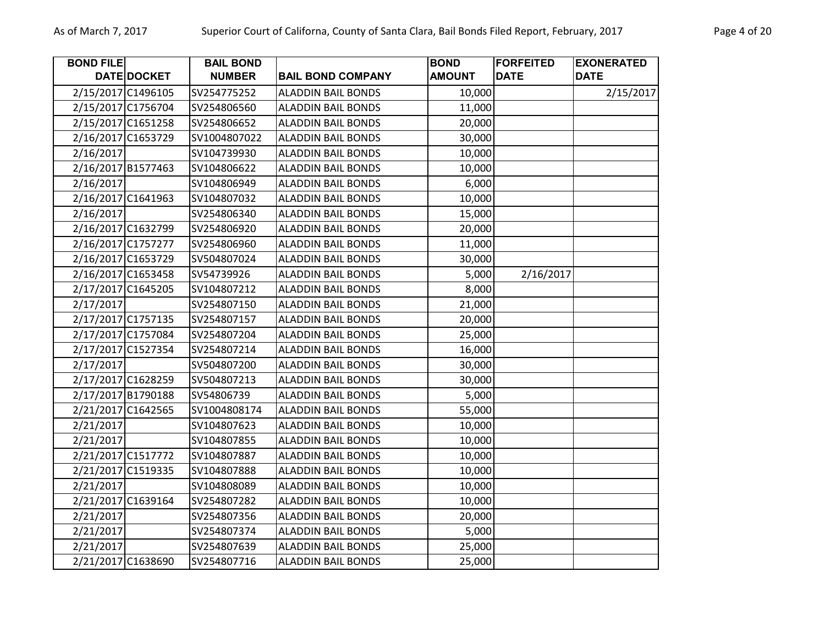| <b>BOND FILE</b> |                    | <b>BAIL BOND</b> |                           | <b>BOND</b>   | <b>FORFEITED</b> | <b>EXONERATED</b> |
|------------------|--------------------|------------------|---------------------------|---------------|------------------|-------------------|
|                  | DATE DOCKET        | <b>NUMBER</b>    | <b>BAIL BOND COMPANY</b>  | <b>AMOUNT</b> | <b>DATE</b>      | <b>DATE</b>       |
|                  | 2/15/2017 C1496105 | SV254775252      | <b>ALADDIN BAIL BONDS</b> | 10,000        |                  | 2/15/2017         |
|                  | 2/15/2017 C1756704 | SV254806560      | <b>ALADDIN BAIL BONDS</b> | 11,000        |                  |                   |
|                  | 2/15/2017 C1651258 | SV254806652      | <b>ALADDIN BAIL BONDS</b> | 20,000        |                  |                   |
|                  | 2/16/2017 C1653729 | SV1004807022     | <b>ALADDIN BAIL BONDS</b> | 30,000        |                  |                   |
| 2/16/2017        |                    | SV104739930      | <b>ALADDIN BAIL BONDS</b> | 10,000        |                  |                   |
|                  | 2/16/2017 B1577463 | SV104806622      | <b>ALADDIN BAIL BONDS</b> | 10,000        |                  |                   |
| 2/16/2017        |                    | SV104806949      | <b>ALADDIN BAIL BONDS</b> | 6,000         |                  |                   |
|                  | 2/16/2017 C1641963 | SV104807032      | <b>ALADDIN BAIL BONDS</b> | 10,000        |                  |                   |
| 2/16/2017        |                    | SV254806340      | <b>ALADDIN BAIL BONDS</b> | 15,000        |                  |                   |
|                  | 2/16/2017 C1632799 | SV254806920      | <b>ALADDIN BAIL BONDS</b> | 20,000        |                  |                   |
|                  | 2/16/2017 C1757277 | SV254806960      | <b>ALADDIN BAIL BONDS</b> | 11,000        |                  |                   |
|                  | 2/16/2017 C1653729 | SV504807024      | <b>ALADDIN BAIL BONDS</b> | 30,000        |                  |                   |
|                  | 2/16/2017 C1653458 | SV54739926       | <b>ALADDIN BAIL BONDS</b> | 5,000         | 2/16/2017        |                   |
|                  | 2/17/2017 C1645205 | SV104807212      | <b>ALADDIN BAIL BONDS</b> | 8,000         |                  |                   |
| 2/17/2017        |                    | SV254807150      | <b>ALADDIN BAIL BONDS</b> | 21,000        |                  |                   |
|                  | 2/17/2017 C1757135 | SV254807157      | <b>ALADDIN BAIL BONDS</b> | 20,000        |                  |                   |
|                  | 2/17/2017 C1757084 | SV254807204      | <b>ALADDIN BAIL BONDS</b> | 25,000        |                  |                   |
|                  | 2/17/2017 C1527354 | SV254807214      | <b>ALADDIN BAIL BONDS</b> | 16,000        |                  |                   |
| 2/17/2017        |                    | SV504807200      | <b>ALADDIN BAIL BONDS</b> | 30,000        |                  |                   |
|                  | 2/17/2017 C1628259 | SV504807213      | <b>ALADDIN BAIL BONDS</b> | 30,000        |                  |                   |
|                  | 2/17/2017 B1790188 | SV54806739       | <b>ALADDIN BAIL BONDS</b> | 5,000         |                  |                   |
|                  | 2/21/2017 C1642565 | SV1004808174     | <b>ALADDIN BAIL BONDS</b> | 55,000        |                  |                   |
| 2/21/2017        |                    | SV104807623      | <b>ALADDIN BAIL BONDS</b> | 10,000        |                  |                   |
| 2/21/2017        |                    | SV104807855      | <b>ALADDIN BAIL BONDS</b> | 10,000        |                  |                   |
|                  | 2/21/2017 C1517772 | SV104807887      | <b>ALADDIN BAIL BONDS</b> | 10,000        |                  |                   |
|                  | 2/21/2017 C1519335 | SV104807888      | <b>ALADDIN BAIL BONDS</b> | 10,000        |                  |                   |
| 2/21/2017        |                    | SV104808089      | <b>ALADDIN BAIL BONDS</b> | 10,000        |                  |                   |
|                  | 2/21/2017 C1639164 | SV254807282      | <b>ALADDIN BAIL BONDS</b> | 10,000        |                  |                   |
| 2/21/2017        |                    | SV254807356      | <b>ALADDIN BAIL BONDS</b> | 20,000        |                  |                   |
| 2/21/2017        |                    | SV254807374      | <b>ALADDIN BAIL BONDS</b> | 5,000         |                  |                   |
| 2/21/2017        |                    | SV254807639      | <b>ALADDIN BAIL BONDS</b> | 25,000        |                  |                   |
|                  | 2/21/2017 C1638690 | SV254807716      | <b>ALADDIN BAIL BONDS</b> | 25,000        |                  |                   |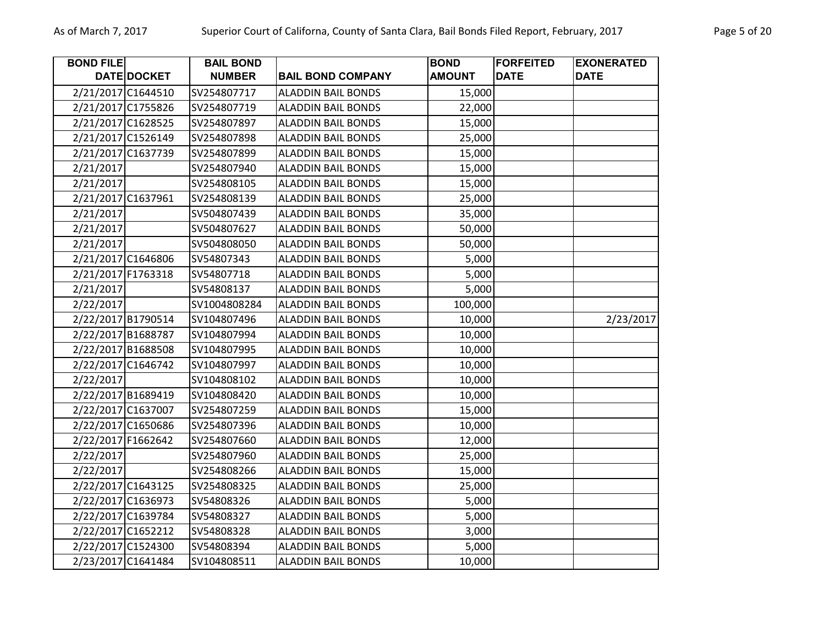| <b>BOND FILE</b>   |                    | <b>BAIL BOND</b> |                           | <b>BOND</b>   | <b>FORFEITED</b> | <b>EXONERATED</b> |
|--------------------|--------------------|------------------|---------------------------|---------------|------------------|-------------------|
|                    | DATE DOCKET        | <b>NUMBER</b>    | <b>BAIL BOND COMPANY</b>  | <b>AMOUNT</b> | <b>DATE</b>      | <b>DATE</b>       |
|                    | 2/21/2017 C1644510 | SV254807717      | <b>ALADDIN BAIL BONDS</b> | 15,000        |                  |                   |
| 2/21/2017 C1755826 |                    | SV254807719      | <b>ALADDIN BAIL BONDS</b> | 22,000        |                  |                   |
| 2/21/2017 C1628525 |                    | SV254807897      | <b>ALADDIN BAIL BONDS</b> | 15,000        |                  |                   |
| 2/21/2017 C1526149 |                    | SV254807898      | <b>ALADDIN BAIL BONDS</b> | 25,000        |                  |                   |
| 2/21/2017 C1637739 |                    | SV254807899      | <b>ALADDIN BAIL BONDS</b> | 15,000        |                  |                   |
| 2/21/2017          |                    | SV254807940      | <b>ALADDIN BAIL BONDS</b> | 15,000        |                  |                   |
| 2/21/2017          |                    | SV254808105      | <b>ALADDIN BAIL BONDS</b> | 15,000        |                  |                   |
| 2/21/2017 C1637961 |                    | SV254808139      | <b>ALADDIN BAIL BONDS</b> | 25,000        |                  |                   |
| 2/21/2017          |                    | SV504807439      | <b>ALADDIN BAIL BONDS</b> | 35,000        |                  |                   |
| 2/21/2017          |                    | SV504807627      | <b>ALADDIN BAIL BONDS</b> | 50,000        |                  |                   |
| 2/21/2017          |                    | SV504808050      | <b>ALADDIN BAIL BONDS</b> | 50,000        |                  |                   |
| 2/21/2017 C1646806 |                    | SV54807343       | <b>ALADDIN BAIL BONDS</b> | 5,000         |                  |                   |
| 2/21/2017 F1763318 |                    | SV54807718       | <b>ALADDIN BAIL BONDS</b> | 5,000         |                  |                   |
| 2/21/2017          |                    | SV54808137       | <b>ALADDIN BAIL BONDS</b> | 5,000         |                  |                   |
| 2/22/2017          |                    | SV1004808284     | <b>ALADDIN BAIL BONDS</b> | 100,000       |                  |                   |
|                    | 2/22/2017 B1790514 | SV104807496      | <b>ALADDIN BAIL BONDS</b> | 10,000        |                  | 2/23/2017         |
| 2/22/2017 B1688787 |                    | SV104807994      | <b>ALADDIN BAIL BONDS</b> | 10,000        |                  |                   |
| 2/22/2017 B1688508 |                    | SV104807995      | <b>ALADDIN BAIL BONDS</b> | 10,000        |                  |                   |
| 2/22/2017 C1646742 |                    | SV104807997      | <b>ALADDIN BAIL BONDS</b> | 10,000        |                  |                   |
| 2/22/2017          |                    | SV104808102      | <b>ALADDIN BAIL BONDS</b> | 10,000        |                  |                   |
| 2/22/2017 B1689419 |                    | SV104808420      | <b>ALADDIN BAIL BONDS</b> | 10,000        |                  |                   |
| 2/22/2017 C1637007 |                    | SV254807259      | <b>ALADDIN BAIL BONDS</b> | 15,000        |                  |                   |
| 2/22/2017 C1650686 |                    | SV254807396      | <b>ALADDIN BAIL BONDS</b> | 10,000        |                  |                   |
| 2/22/2017 F1662642 |                    | SV254807660      | <b>ALADDIN BAIL BONDS</b> | 12,000        |                  |                   |
| 2/22/2017          |                    | SV254807960      | <b>ALADDIN BAIL BONDS</b> | 25,000        |                  |                   |
| 2/22/2017          |                    | SV254808266      | <b>ALADDIN BAIL BONDS</b> | 15,000        |                  |                   |
| 2/22/2017 C1643125 |                    | SV254808325      | <b>ALADDIN BAIL BONDS</b> | 25,000        |                  |                   |
| 2/22/2017 C1636973 |                    | SV54808326       | <b>ALADDIN BAIL BONDS</b> | 5,000         |                  |                   |
| 2/22/2017 C1639784 |                    | SV54808327       | <b>ALADDIN BAIL BONDS</b> | 5,000         |                  |                   |
| 2/22/2017 C1652212 |                    | SV54808328       | <b>ALADDIN BAIL BONDS</b> | 3,000         |                  |                   |
| 2/22/2017 C1524300 |                    | SV54808394       | <b>ALADDIN BAIL BONDS</b> | 5,000         |                  |                   |
| 2/23/2017 C1641484 |                    | SV104808511      | <b>ALADDIN BAIL BONDS</b> | 10,000        |                  |                   |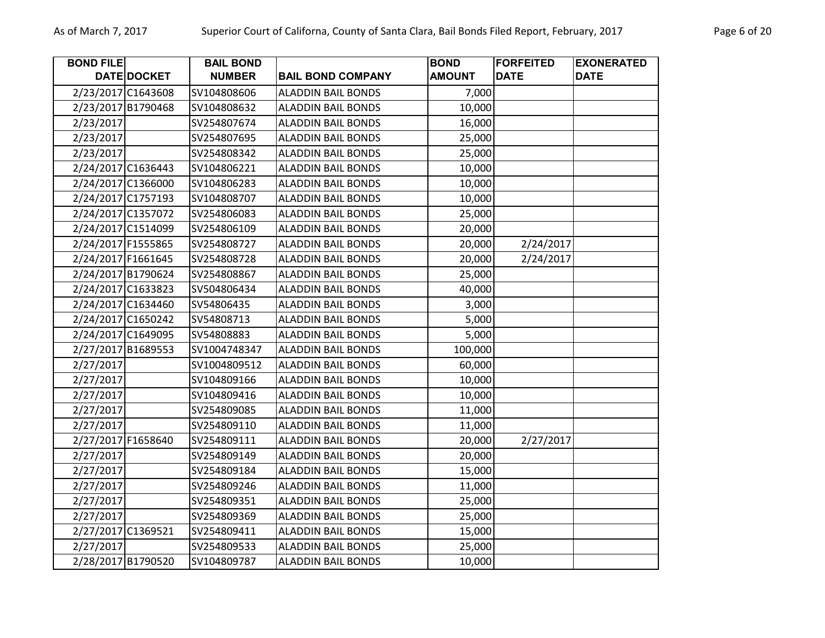| <b>BOND FILE</b>   |             | <b>BAIL BOND</b> |                           | <b>BOND</b>   | <b>FORFEITED</b> | <b>EXONERATED</b> |
|--------------------|-------------|------------------|---------------------------|---------------|------------------|-------------------|
|                    | DATE DOCKET | <b>NUMBER</b>    | <b>BAIL BOND COMPANY</b>  | <b>AMOUNT</b> | <b>DATE</b>      | <b>DATE</b>       |
| 2/23/2017 C1643608 |             | SV104808606      | <b>ALADDIN BAIL BONDS</b> | 7,000         |                  |                   |
| 2/23/2017 B1790468 |             | SV104808632      | <b>ALADDIN BAIL BONDS</b> | 10,000        |                  |                   |
| 2/23/2017          |             | SV254807674      | <b>ALADDIN BAIL BONDS</b> | 16,000        |                  |                   |
| 2/23/2017          |             | SV254807695      | <b>ALADDIN BAIL BONDS</b> | 25,000        |                  |                   |
| 2/23/2017          |             | SV254808342      | <b>ALADDIN BAIL BONDS</b> | 25,000        |                  |                   |
| 2/24/2017 C1636443 |             | SV104806221      | <b>ALADDIN BAIL BONDS</b> | 10,000        |                  |                   |
| 2/24/2017 C1366000 |             | SV104806283      | <b>ALADDIN BAIL BONDS</b> | 10,000        |                  |                   |
| 2/24/2017 C1757193 |             | SV104808707      | <b>ALADDIN BAIL BONDS</b> | 10,000        |                  |                   |
| 2/24/2017 C1357072 |             | SV254806083      | <b>ALADDIN BAIL BONDS</b> | 25,000        |                  |                   |
| 2/24/2017 C1514099 |             | SV254806109      | <b>ALADDIN BAIL BONDS</b> | 20,000        |                  |                   |
| 2/24/2017 F1555865 |             | SV254808727      | <b>ALADDIN BAIL BONDS</b> | 20,000        | 2/24/2017        |                   |
| 2/24/2017 F1661645 |             | SV254808728      | <b>ALADDIN BAIL BONDS</b> | 20,000        | 2/24/2017        |                   |
| 2/24/2017 B1790624 |             | SV254808867      | <b>ALADDIN BAIL BONDS</b> | 25,000        |                  |                   |
| 2/24/2017 C1633823 |             | SV504806434      | <b>ALADDIN BAIL BONDS</b> | 40,000        |                  |                   |
| 2/24/2017 C1634460 |             | SV54806435       | <b>ALADDIN BAIL BONDS</b> | 3,000         |                  |                   |
| 2/24/2017 C1650242 |             | SV54808713       | <b>ALADDIN BAIL BONDS</b> | 5,000         |                  |                   |
| 2/24/2017 C1649095 |             | SV54808883       | <b>ALADDIN BAIL BONDS</b> | 5,000         |                  |                   |
| 2/27/2017 B1689553 |             | SV1004748347     | <b>ALADDIN BAIL BONDS</b> | 100,000       |                  |                   |
| 2/27/2017          |             | SV1004809512     | <b>ALADDIN BAIL BONDS</b> | 60,000        |                  |                   |
| 2/27/2017          |             | SV104809166      | <b>ALADDIN BAIL BONDS</b> | 10,000        |                  |                   |
| 2/27/2017          |             | SV104809416      | <b>ALADDIN BAIL BONDS</b> | 10,000        |                  |                   |
| 2/27/2017          |             | SV254809085      | <b>ALADDIN BAIL BONDS</b> | 11,000        |                  |                   |
| 2/27/2017          |             | SV254809110      | <b>ALADDIN BAIL BONDS</b> | 11,000        |                  |                   |
| 2/27/2017 F1658640 |             | SV254809111      | <b>ALADDIN BAIL BONDS</b> | 20,000        | 2/27/2017        |                   |
| 2/27/2017          |             | SV254809149      | <b>ALADDIN BAIL BONDS</b> | 20,000        |                  |                   |
| 2/27/2017          |             | SV254809184      | <b>ALADDIN BAIL BONDS</b> | 15,000        |                  |                   |
| 2/27/2017          |             | SV254809246      | <b>ALADDIN BAIL BONDS</b> | 11,000        |                  |                   |
| 2/27/2017          |             | SV254809351      | <b>ALADDIN BAIL BONDS</b> | 25,000        |                  |                   |
| 2/27/2017          |             | SV254809369      | <b>ALADDIN BAIL BONDS</b> | 25,000        |                  |                   |
| 2/27/2017 C1369521 |             | SV254809411      | <b>ALADDIN BAIL BONDS</b> | 15,000        |                  |                   |
| 2/27/2017          |             | SV254809533      | <b>ALADDIN BAIL BONDS</b> | 25,000        |                  |                   |
| 2/28/2017 B1790520 |             | SV104809787      | <b>ALADDIN BAIL BONDS</b> | 10,000        |                  |                   |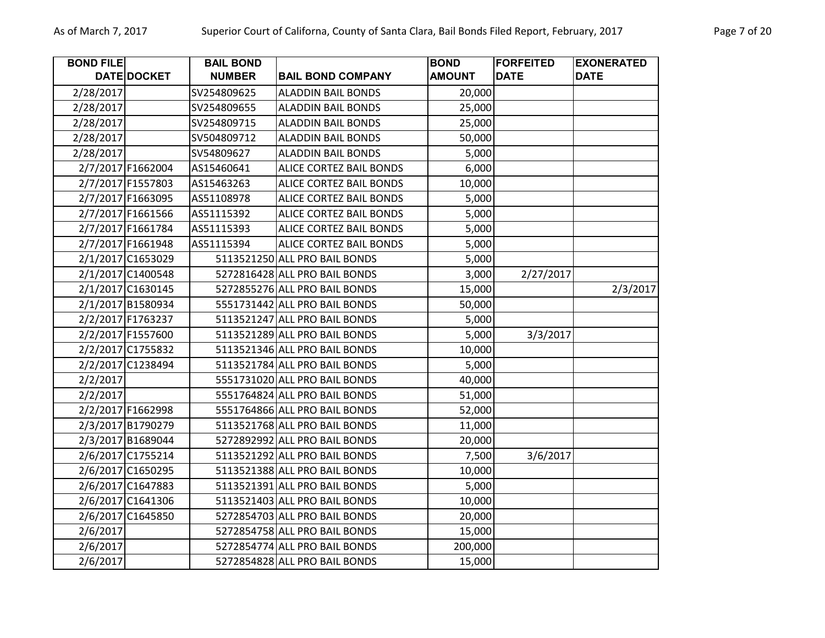| <b>BOND FILE</b> |                   | <b>BAIL BOND</b> |                                | <b>BOND</b>   | <b>FORFEITED</b> | <b>EXONERATED</b> |
|------------------|-------------------|------------------|--------------------------------|---------------|------------------|-------------------|
|                  | DATE DOCKET       | <b>NUMBER</b>    | <b>BAIL BOND COMPANY</b>       | <b>AMOUNT</b> | <b>DATE</b>      | <b>DATE</b>       |
| 2/28/2017        |                   | SV254809625      | <b>ALADDIN BAIL BONDS</b>      | 20,000        |                  |                   |
| 2/28/2017        |                   | SV254809655      | <b>ALADDIN BAIL BONDS</b>      | 25,000        |                  |                   |
| 2/28/2017        |                   | SV254809715      | <b>ALADDIN BAIL BONDS</b>      | 25,000        |                  |                   |
| 2/28/2017        |                   | SV504809712      | <b>ALADDIN BAIL BONDS</b>      | 50,000        |                  |                   |
| 2/28/2017        |                   | SV54809627       | <b>ALADDIN BAIL BONDS</b>      | 5,000         |                  |                   |
|                  | 2/7/2017 F1662004 | AS15460641       | ALICE CORTEZ BAIL BONDS        | 6,000         |                  |                   |
|                  | 2/7/2017 F1557803 | AS15463263       | ALICE CORTEZ BAIL BONDS        | 10,000        |                  |                   |
|                  | 2/7/2017 F1663095 | AS51108978       | <b>ALICE CORTEZ BAIL BONDS</b> | 5,000         |                  |                   |
|                  | 2/7/2017 F1661566 | AS51115392       | <b>ALICE CORTEZ BAIL BONDS</b> | 5,000         |                  |                   |
|                  | 2/7/2017 F1661784 | AS51115393       | <b>ALICE CORTEZ BAIL BONDS</b> | 5,000         |                  |                   |
|                  | 2/7/2017 F1661948 | AS51115394       | ALICE CORTEZ BAIL BONDS        | 5,000         |                  |                   |
|                  | 2/1/2017 C1653029 |                  | 5113521250 ALL PRO BAIL BONDS  | 5,000         |                  |                   |
|                  | 2/1/2017 C1400548 |                  | 5272816428 ALL PRO BAIL BONDS  | 3,000         | 2/27/2017        |                   |
|                  | 2/1/2017 C1630145 |                  | 5272855276 ALL PRO BAIL BONDS  | 15,000        |                  | 2/3/2017          |
|                  | 2/1/2017 B1580934 |                  | 5551731442 ALL PRO BAIL BONDS  | 50,000        |                  |                   |
|                  | 2/2/2017 F1763237 |                  | 5113521247 ALL PRO BAIL BONDS  | 5,000         |                  |                   |
|                  | 2/2/2017 F1557600 |                  | 5113521289 ALL PRO BAIL BONDS  | 5,000         | 3/3/2017         |                   |
|                  | 2/2/2017 C1755832 |                  | 5113521346 ALL PRO BAIL BONDS  | 10,000        |                  |                   |
|                  | 2/2/2017 C1238494 |                  | 5113521784 ALL PRO BAIL BONDS  | 5,000         |                  |                   |
| 2/2/2017         |                   |                  | 5551731020 ALL PRO BAIL BONDS  | 40,000        |                  |                   |
| 2/2/2017         |                   |                  | 5551764824 ALL PRO BAIL BONDS  | 51,000        |                  |                   |
|                  | 2/2/2017 F1662998 |                  | 5551764866 ALL PRO BAIL BONDS  | 52,000        |                  |                   |
|                  | 2/3/2017 B1790279 |                  | 5113521768 ALL PRO BAIL BONDS  | 11,000        |                  |                   |
|                  | 2/3/2017 B1689044 |                  | 5272892992 ALL PRO BAIL BONDS  | 20,000        |                  |                   |
|                  | 2/6/2017 C1755214 |                  | 5113521292 ALL PRO BAIL BONDS  | 7,500         | 3/6/2017         |                   |
|                  | 2/6/2017 C1650295 |                  | 5113521388 ALL PRO BAIL BONDS  | 10,000        |                  |                   |
|                  | 2/6/2017 C1647883 |                  | 5113521391 ALL PRO BAIL BONDS  | 5,000         |                  |                   |
|                  | 2/6/2017 C1641306 |                  | 5113521403 ALL PRO BAIL BONDS  | 10,000        |                  |                   |
|                  | 2/6/2017 C1645850 |                  | 5272854703 ALL PRO BAIL BONDS  | 20,000        |                  |                   |
| 2/6/2017         |                   |                  | 5272854758 ALL PRO BAIL BONDS  | 15,000        |                  |                   |
| 2/6/2017         |                   |                  | 5272854774 ALL PRO BAIL BONDS  | 200,000       |                  |                   |
| 2/6/2017         |                   |                  | 5272854828 ALL PRO BAIL BONDS  | 15,000        |                  |                   |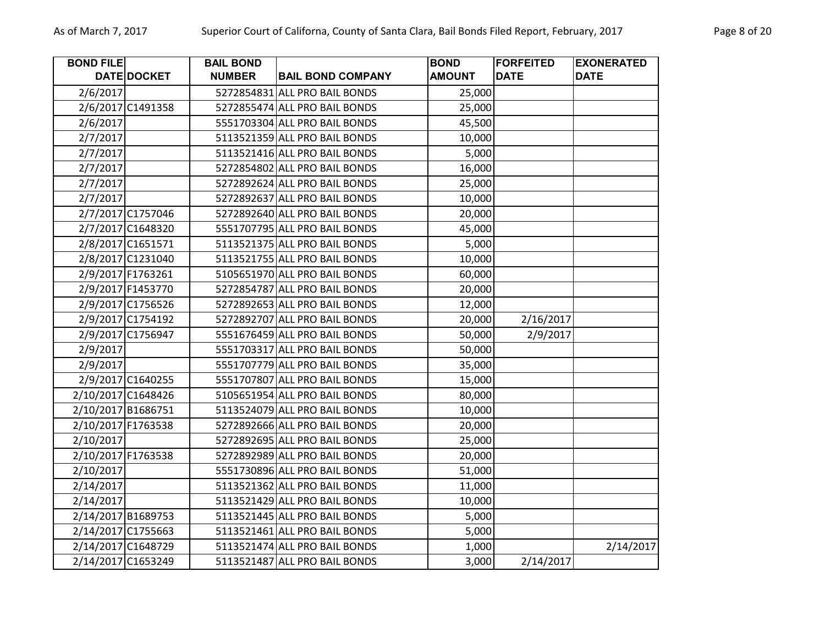| <b>BOND FILE</b>   |                    | <b>BAIL BOND</b> |                               | <b>BOND</b>   | <b>FORFEITED</b> | <b>EXONERATED</b> |
|--------------------|--------------------|------------------|-------------------------------|---------------|------------------|-------------------|
|                    | DATE DOCKET        | <b>NUMBER</b>    | <b>BAIL BOND COMPANY</b>      | <b>AMOUNT</b> | <b>DATE</b>      | <b>DATE</b>       |
| 2/6/2017           |                    |                  | 5272854831 ALL PRO BAIL BONDS | 25,000        |                  |                   |
|                    | 2/6/2017 C1491358  |                  | 5272855474 ALL PRO BAIL BONDS | 25,000        |                  |                   |
| 2/6/2017           |                    |                  | 5551703304 ALL PRO BAIL BONDS | 45,500        |                  |                   |
| 2/7/2017           |                    |                  | 5113521359 ALL PRO BAIL BONDS | 10,000        |                  |                   |
| 2/7/2017           |                    |                  | 5113521416 ALL PRO BAIL BONDS | 5,000         |                  |                   |
| 2/7/2017           |                    |                  | 5272854802 ALL PRO BAIL BONDS | 16,000        |                  |                   |
| 2/7/2017           |                    |                  | 5272892624 ALL PRO BAIL BONDS | 25,000        |                  |                   |
| 2/7/2017           |                    |                  | 5272892637 ALL PRO BAIL BONDS | 10,000        |                  |                   |
|                    | 2/7/2017 C1757046  |                  | 5272892640 ALL PRO BAIL BONDS | 20,000        |                  |                   |
|                    | 2/7/2017 C1648320  |                  | 5551707795 ALL PRO BAIL BONDS | 45,000        |                  |                   |
|                    | 2/8/2017 C1651571  |                  | 5113521375 ALL PRO BAIL BONDS | 5,000         |                  |                   |
|                    | 2/8/2017 C1231040  |                  | 5113521755 ALL PRO BAIL BONDS | 10,000        |                  |                   |
|                    | 2/9/2017 F1763261  |                  | 5105651970 ALL PRO BAIL BONDS | 60,000        |                  |                   |
|                    | 2/9/2017 F1453770  |                  | 5272854787 ALL PRO BAIL BONDS | 20,000        |                  |                   |
|                    | 2/9/2017 C1756526  |                  | 5272892653 ALL PRO BAIL BONDS | 12,000        |                  |                   |
|                    | 2/9/2017 C1754192  |                  | 5272892707 ALL PRO BAIL BONDS | 20,000        | 2/16/2017        |                   |
|                    | 2/9/2017 C1756947  |                  | 5551676459 ALL PRO BAIL BONDS | 50,000        | 2/9/2017         |                   |
| 2/9/2017           |                    |                  | 5551703317 ALL PRO BAIL BONDS | 50,000        |                  |                   |
| 2/9/2017           |                    |                  | 5551707779 ALL PRO BAIL BONDS | 35,000        |                  |                   |
|                    | 2/9/2017 C1640255  |                  | 5551707807 ALL PRO BAIL BONDS | 15,000        |                  |                   |
|                    | 2/10/2017 C1648426 |                  | 5105651954 ALL PRO BAIL BONDS | 80,000        |                  |                   |
|                    | 2/10/2017 B1686751 |                  | 5113524079 ALL PRO BAIL BONDS | 10,000        |                  |                   |
| 2/10/2017 F1763538 |                    |                  | 5272892666 ALL PRO BAIL BONDS | 20,000        |                  |                   |
| 2/10/2017          |                    |                  | 5272892695 ALL PRO BAIL BONDS | 25,000        |                  |                   |
| 2/10/2017 F1763538 |                    |                  | 5272892989 ALL PRO BAIL BONDS | 20,000        |                  |                   |
| 2/10/2017          |                    |                  | 5551730896 ALL PRO BAIL BONDS | 51,000        |                  |                   |
| 2/14/2017          |                    |                  | 5113521362 ALL PRO BAIL BONDS | 11,000        |                  |                   |
| 2/14/2017          |                    |                  | 5113521429 ALL PRO BAIL BONDS | 10,000        |                  |                   |
| 2/14/2017 B1689753 |                    |                  | 5113521445 ALL PRO BAIL BONDS | 5,000         |                  |                   |
|                    | 2/14/2017 C1755663 |                  | 5113521461 ALL PRO BAIL BONDS | 5,000         |                  |                   |
| 2/14/2017 C1648729 |                    |                  | 5113521474 ALL PRO BAIL BONDS | 1,000         |                  | 2/14/2017         |
|                    | 2/14/2017 C1653249 |                  | 5113521487 ALL PRO BAIL BONDS | 3,000         | 2/14/2017        |                   |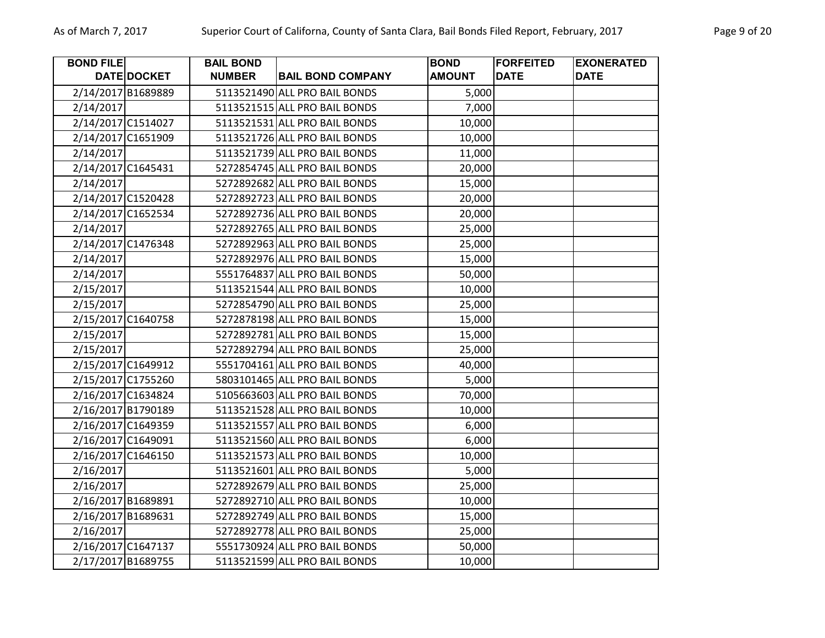| <b>BOND FILE</b>   |                    | <b>BAIL BOND</b> |                               | <b>BOND</b>   | <b>FORFEITED</b> | <b>EXONERATED</b> |
|--------------------|--------------------|------------------|-------------------------------|---------------|------------------|-------------------|
|                    | <b>DATE DOCKET</b> | <b>NUMBER</b>    | <b>BAIL BOND COMPANY</b>      | <b>AMOUNT</b> | <b>DATE</b>      | <b>DATE</b>       |
| 2/14/2017 B1689889 |                    |                  | 5113521490 ALL PRO BAIL BONDS | 5,000         |                  |                   |
| 2/14/2017          |                    |                  | 5113521515 ALL PRO BAIL BONDS | 7,000         |                  |                   |
| 2/14/2017 C1514027 |                    |                  | 5113521531 ALL PRO BAIL BONDS | 10,000        |                  |                   |
| 2/14/2017 C1651909 |                    |                  | 5113521726 ALL PRO BAIL BONDS | 10,000        |                  |                   |
| 2/14/2017          |                    |                  | 5113521739 ALL PRO BAIL BONDS | 11,000        |                  |                   |
| 2/14/2017 C1645431 |                    |                  | 5272854745 ALL PRO BAIL BONDS | 20,000        |                  |                   |
| 2/14/2017          |                    |                  | 5272892682 ALL PRO BAIL BONDS | 15,000        |                  |                   |
| 2/14/2017 C1520428 |                    |                  | 5272892723 ALL PRO BAIL BONDS | 20,000        |                  |                   |
| 2/14/2017 C1652534 |                    |                  | 5272892736 ALL PRO BAIL BONDS | 20,000        |                  |                   |
| 2/14/2017          |                    |                  | 5272892765 ALL PRO BAIL BONDS | 25,000        |                  |                   |
| 2/14/2017 C1476348 |                    |                  | 5272892963 ALL PRO BAIL BONDS | 25,000        |                  |                   |
| 2/14/2017          |                    |                  | 5272892976 ALL PRO BAIL BONDS | 15,000        |                  |                   |
| 2/14/2017          |                    |                  | 5551764837 ALL PRO BAIL BONDS | 50,000        |                  |                   |
| 2/15/2017          |                    |                  | 5113521544 ALL PRO BAIL BONDS | 10,000        |                  |                   |
| 2/15/2017          |                    |                  | 5272854790 ALL PRO BAIL BONDS | 25,000        |                  |                   |
| 2/15/2017 C1640758 |                    |                  | 5272878198 ALL PRO BAIL BONDS | 15,000        |                  |                   |
| 2/15/2017          |                    |                  | 5272892781 ALL PRO BAIL BONDS | 15,000        |                  |                   |
| 2/15/2017          |                    |                  | 5272892794 ALL PRO BAIL BONDS | 25,000        |                  |                   |
| 2/15/2017 C1649912 |                    |                  | 5551704161 ALL PRO BAIL BONDS | 40,000        |                  |                   |
| 2/15/2017 C1755260 |                    |                  | 5803101465 ALL PRO BAIL BONDS | 5,000         |                  |                   |
| 2/16/2017 C1634824 |                    |                  | 5105663603 ALL PRO BAIL BONDS | 70,000        |                  |                   |
| 2/16/2017 B1790189 |                    |                  | 5113521528 ALL PRO BAIL BONDS | 10,000        |                  |                   |
| 2/16/2017 C1649359 |                    |                  | 5113521557 ALL PRO BAIL BONDS | 6,000         |                  |                   |
| 2/16/2017 C1649091 |                    |                  | 5113521560 ALL PRO BAIL BONDS | 6,000         |                  |                   |
| 2/16/2017 C1646150 |                    |                  | 5113521573 ALL PRO BAIL BONDS | 10,000        |                  |                   |
| 2/16/2017          |                    |                  | 5113521601 ALL PRO BAIL BONDS | 5,000         |                  |                   |
| 2/16/2017          |                    |                  | 5272892679 ALL PRO BAIL BONDS | 25,000        |                  |                   |
| 2/16/2017 B1689891 |                    |                  | 5272892710 ALL PRO BAIL BONDS | 10,000        |                  |                   |
| 2/16/2017 B1689631 |                    |                  | 5272892749 ALL PRO BAIL BONDS | 15,000        |                  |                   |
| 2/16/2017          |                    |                  | 5272892778 ALL PRO BAIL BONDS | 25,000        |                  |                   |
| 2/16/2017 C1647137 |                    |                  | 5551730924 ALL PRO BAIL BONDS | 50,000        |                  |                   |
| 2/17/2017 B1689755 |                    |                  | 5113521599 ALL PRO BAIL BONDS | 10,000        |                  |                   |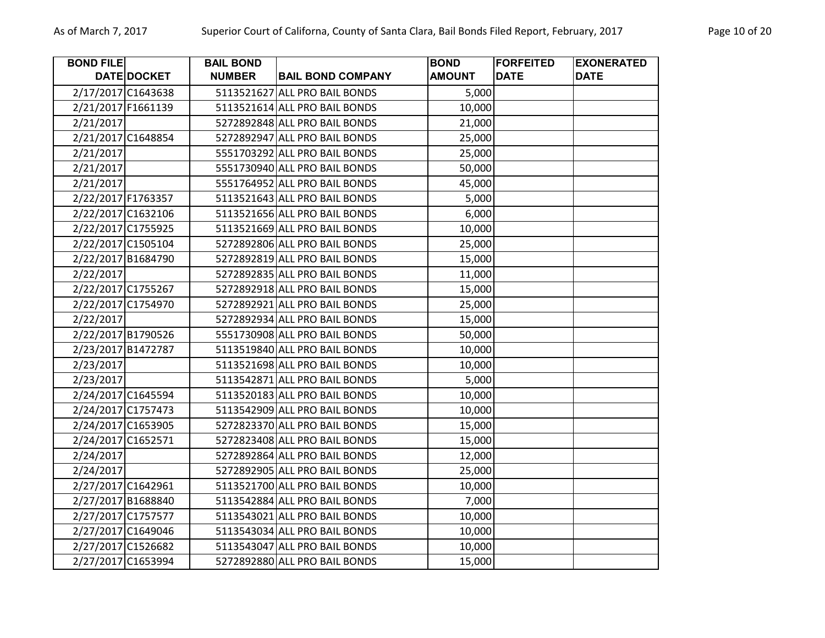| <b>BOND FILE</b>   |                    | <b>BAIL BOND</b> |                               | <b>BOND</b>   | <b>FORFEITED</b> | <b>EXONERATED</b> |
|--------------------|--------------------|------------------|-------------------------------|---------------|------------------|-------------------|
|                    | DATE DOCKET        | <b>NUMBER</b>    | <b>BAIL BOND COMPANY</b>      | <b>AMOUNT</b> | <b>DATE</b>      | <b>DATE</b>       |
|                    | 2/17/2017 C1643638 |                  | 5113521627 ALL PRO BAIL BONDS | 5,000         |                  |                   |
|                    | 2/21/2017 F1661139 |                  | 5113521614 ALL PRO BAIL BONDS | 10,000        |                  |                   |
| 2/21/2017          |                    |                  | 5272892848 ALL PRO BAIL BONDS | 21,000        |                  |                   |
|                    | 2/21/2017 C1648854 |                  | 5272892947 ALL PRO BAIL BONDS | 25,000        |                  |                   |
| 2/21/2017          |                    |                  | 5551703292 ALL PRO BAIL BONDS | 25,000        |                  |                   |
| 2/21/2017          |                    |                  | 5551730940 ALL PRO BAIL BONDS | 50,000        |                  |                   |
| 2/21/2017          |                    |                  | 5551764952 ALL PRO BAIL BONDS | 45,000        |                  |                   |
| 2/22/2017 F1763357 |                    |                  | 5113521643 ALL PRO BAIL BONDS | 5,000         |                  |                   |
|                    | 2/22/2017 C1632106 |                  | 5113521656 ALL PRO BAIL BONDS | 6,000         |                  |                   |
|                    | 2/22/2017 C1755925 |                  | 5113521669 ALL PRO BAIL BONDS | 10,000        |                  |                   |
|                    | 2/22/2017 C1505104 |                  | 5272892806 ALL PRO BAIL BONDS | 25,000        |                  |                   |
|                    | 2/22/2017 B1684790 |                  | 5272892819 ALL PRO BAIL BONDS | 15,000        |                  |                   |
| 2/22/2017          |                    |                  | 5272892835 ALL PRO BAIL BONDS | 11,000        |                  |                   |
|                    | 2/22/2017 C1755267 |                  | 5272892918 ALL PRO BAIL BONDS | 15,000        |                  |                   |
|                    | 2/22/2017 C1754970 |                  | 5272892921 ALL PRO BAIL BONDS | 25,000        |                  |                   |
| 2/22/2017          |                    |                  | 5272892934 ALL PRO BAIL BONDS | 15,000        |                  |                   |
|                    | 2/22/2017 B1790526 |                  | 5551730908 ALL PRO BAIL BONDS | 50,000        |                  |                   |
|                    | 2/23/2017 B1472787 |                  | 5113519840 ALL PRO BAIL BONDS | 10,000        |                  |                   |
| 2/23/2017          |                    |                  | 5113521698 ALL PRO BAIL BONDS | 10,000        |                  |                   |
| 2/23/2017          |                    |                  | 5113542871 ALL PRO BAIL BONDS | 5,000         |                  |                   |
|                    | 2/24/2017 C1645594 |                  | 5113520183 ALL PRO BAIL BONDS | 10,000        |                  |                   |
|                    | 2/24/2017 C1757473 |                  | 5113542909 ALL PRO BAIL BONDS | 10,000        |                  |                   |
|                    | 2/24/2017 C1653905 |                  | 5272823370 ALL PRO BAIL BONDS | 15,000        |                  |                   |
|                    | 2/24/2017 C1652571 |                  | 5272823408 ALL PRO BAIL BONDS | 15,000        |                  |                   |
| 2/24/2017          |                    |                  | 5272892864 ALL PRO BAIL BONDS | 12,000        |                  |                   |
| 2/24/2017          |                    |                  | 5272892905 ALL PRO BAIL BONDS | 25,000        |                  |                   |
|                    | 2/27/2017 C1642961 |                  | 5113521700 ALL PRO BAIL BONDS | 10,000        |                  |                   |
|                    | 2/27/2017 B1688840 |                  | 5113542884 ALL PRO BAIL BONDS | 7,000         |                  |                   |
|                    | 2/27/2017 C1757577 |                  | 5113543021 ALL PRO BAIL BONDS | 10,000        |                  |                   |
|                    | 2/27/2017 C1649046 |                  | 5113543034 ALL PRO BAIL BONDS | 10,000        |                  |                   |
|                    | 2/27/2017 C1526682 |                  | 5113543047 ALL PRO BAIL BONDS | 10,000        |                  |                   |
|                    | 2/27/2017 C1653994 |                  | 5272892880 ALL PRO BAIL BONDS | 15,000        |                  |                   |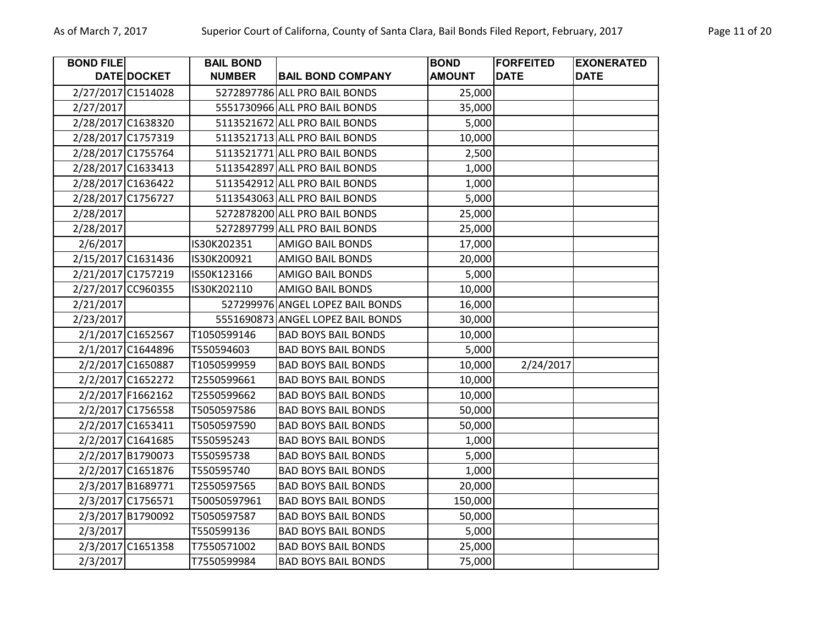| <b>BOND FILE</b> |                    | <b>BAIL BOND</b> |                                   | <b>BOND</b>   | <b>FORFEITED</b> | <b>EXONERATED</b> |
|------------------|--------------------|------------------|-----------------------------------|---------------|------------------|-------------------|
|                  | DATE DOCKET        | <b>NUMBER</b>    | <b>BAIL BOND COMPANY</b>          | <b>AMOUNT</b> | <b>DATE</b>      | <b>DATE</b>       |
|                  | 2/27/2017 C1514028 |                  | 5272897786 ALL PRO BAIL BONDS     | 25,000        |                  |                   |
| 2/27/2017        |                    |                  | 5551730966 ALL PRO BAIL BONDS     | 35,000        |                  |                   |
|                  | 2/28/2017 C1638320 |                  | 5113521672 ALL PRO BAIL BONDS     | 5,000         |                  |                   |
|                  | 2/28/2017 C1757319 |                  | 5113521713 ALL PRO BAIL BONDS     | 10,000        |                  |                   |
|                  | 2/28/2017 C1755764 |                  | 5113521771 ALL PRO BAIL BONDS     | 2,500         |                  |                   |
|                  | 2/28/2017 C1633413 |                  | 5113542897 ALL PRO BAIL BONDS     | 1,000         |                  |                   |
|                  | 2/28/2017 C1636422 |                  | 5113542912 ALL PRO BAIL BONDS     | 1,000         |                  |                   |
|                  | 2/28/2017 C1756727 |                  | 5113543063 ALL PRO BAIL BONDS     | 5,000         |                  |                   |
| 2/28/2017        |                    |                  | 5272878200 ALL PRO BAIL BONDS     | 25,000        |                  |                   |
| 2/28/2017        |                    |                  | 5272897799 ALL PRO BAIL BONDS     | 25,000        |                  |                   |
| 2/6/2017         |                    | IS30K202351      | AMIGO BAIL BONDS                  | 17,000        |                  |                   |
|                  | 2/15/2017 C1631436 | IS30K200921      | AMIGO BAIL BONDS                  | 20,000        |                  |                   |
|                  | 2/21/2017 C1757219 | IS50K123166      | AMIGO BAIL BONDS                  | 5,000         |                  |                   |
|                  | 2/27/2017 CC960355 | IS30K202110      | <b>AMIGO BAIL BONDS</b>           | 10,000        |                  |                   |
| 2/21/2017        |                    |                  | 527299976 ANGEL LOPEZ BAIL BONDS  | 16,000        |                  |                   |
| 2/23/2017        |                    |                  | 5551690873 ANGEL LOPEZ BAIL BONDS | 30,000        |                  |                   |
|                  | 2/1/2017 C1652567  | T1050599146      | <b>BAD BOYS BAIL BONDS</b>        | 10,000        |                  |                   |
|                  | 2/1/2017 C1644896  | T550594603       | <b>BAD BOYS BAIL BONDS</b>        | 5,000         |                  |                   |
|                  | 2/2/2017 C1650887  | T1050599959      | <b>BAD BOYS BAIL BONDS</b>        | 10,000        | 2/24/2017        |                   |
|                  | 2/2/2017 C1652272  | T2550599661      | <b>BAD BOYS BAIL BONDS</b>        | 10,000        |                  |                   |
|                  | 2/2/2017 F1662162  | T2550599662      | <b>BAD BOYS BAIL BONDS</b>        | 10,000        |                  |                   |
|                  | 2/2/2017 C1756558  | T5050597586      | <b>BAD BOYS BAIL BONDS</b>        | 50,000        |                  |                   |
|                  | 2/2/2017 C1653411  | T5050597590      | <b>BAD BOYS BAIL BONDS</b>        | 50,000        |                  |                   |
|                  | 2/2/2017 C1641685  | T550595243       | <b>BAD BOYS BAIL BONDS</b>        | 1,000         |                  |                   |
|                  | 2/2/2017 B1790073  | T550595738       | <b>BAD BOYS BAIL BONDS</b>        | 5,000         |                  |                   |
|                  | 2/2/2017 C1651876  | T550595740       | <b>BAD BOYS BAIL BONDS</b>        | 1,000         |                  |                   |
|                  | 2/3/2017 B1689771  | T2550597565      | <b>BAD BOYS BAIL BONDS</b>        | 20,000        |                  |                   |
|                  | 2/3/2017 C1756571  | T50050597961     | <b>BAD BOYS BAIL BONDS</b>        | 150,000       |                  |                   |
|                  | 2/3/2017 B1790092  | T5050597587      | <b>BAD BOYS BAIL BONDS</b>        | 50,000        |                  |                   |
| 2/3/2017         |                    | T550599136       | <b>BAD BOYS BAIL BONDS</b>        | 5,000         |                  |                   |
|                  | 2/3/2017 C1651358  | T7550571002      | <b>BAD BOYS BAIL BONDS</b>        | 25,000        |                  |                   |
| 2/3/2017         |                    | T7550599984      | <b>BAD BOYS BAIL BONDS</b>        | 75,000        |                  |                   |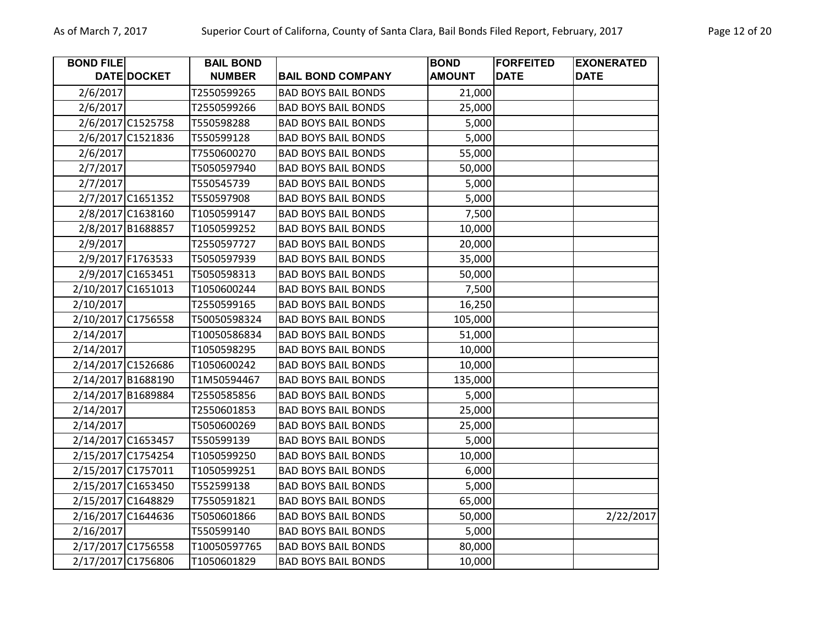| <b>BOND FILE</b> |                    | <b>BAIL BOND</b> |                            | <b>BOND</b>   | <b>FORFEITED</b> | <b>EXONERATED</b> |
|------------------|--------------------|------------------|----------------------------|---------------|------------------|-------------------|
|                  | DATE DOCKET        | <b>NUMBER</b>    | <b>BAIL BOND COMPANY</b>   | <b>AMOUNT</b> | <b>DATE</b>      | <b>DATE</b>       |
| 2/6/2017         |                    | T2550599265      | <b>BAD BOYS BAIL BONDS</b> | 21,000        |                  |                   |
| 2/6/2017         |                    | T2550599266      | <b>BAD BOYS BAIL BONDS</b> | 25,000        |                  |                   |
|                  | 2/6/2017 C1525758  | T550598288       | <b>BAD BOYS BAIL BONDS</b> | 5,000         |                  |                   |
|                  | 2/6/2017 C1521836  | T550599128       | <b>BAD BOYS BAIL BONDS</b> | 5,000         |                  |                   |
| 2/6/2017         |                    | T7550600270      | <b>BAD BOYS BAIL BONDS</b> | 55,000        |                  |                   |
| 2/7/2017         |                    | T5050597940      | <b>BAD BOYS BAIL BONDS</b> | 50,000        |                  |                   |
| 2/7/2017         |                    | T550545739       | <b>BAD BOYS BAIL BONDS</b> | 5,000         |                  |                   |
|                  | 2/7/2017 C1651352  | T550597908       | <b>BAD BOYS BAIL BONDS</b> | 5,000         |                  |                   |
|                  | 2/8/2017 C1638160  | T1050599147      | <b>BAD BOYS BAIL BONDS</b> | 7,500         |                  |                   |
|                  | 2/8/2017 B1688857  | T1050599252      | <b>BAD BOYS BAIL BONDS</b> | 10,000        |                  |                   |
| 2/9/2017         |                    | T2550597727      | <b>BAD BOYS BAIL BONDS</b> | 20,000        |                  |                   |
|                  | 2/9/2017 F1763533  | T5050597939      | <b>BAD BOYS BAIL BONDS</b> | 35,000        |                  |                   |
|                  | 2/9/2017 C1653451  | T5050598313      | <b>BAD BOYS BAIL BONDS</b> | 50,000        |                  |                   |
|                  | 2/10/2017 C1651013 | T1050600244      | <b>BAD BOYS BAIL BONDS</b> | 7,500         |                  |                   |
| 2/10/2017        |                    | T2550599165      | <b>BAD BOYS BAIL BONDS</b> | 16,250        |                  |                   |
|                  | 2/10/2017 C1756558 | T50050598324     | <b>BAD BOYS BAIL BONDS</b> | 105,000       |                  |                   |
| 2/14/2017        |                    | T10050586834     | <b>BAD BOYS BAIL BONDS</b> | 51,000        |                  |                   |
| 2/14/2017        |                    | T1050598295      | <b>BAD BOYS BAIL BONDS</b> | 10,000        |                  |                   |
|                  | 2/14/2017 C1526686 | T1050600242      | <b>BAD BOYS BAIL BONDS</b> | 10,000        |                  |                   |
|                  | 2/14/2017 B1688190 | T1M50594467      | <b>BAD BOYS BAIL BONDS</b> | 135,000       |                  |                   |
|                  | 2/14/2017 B1689884 | T2550585856      | <b>BAD BOYS BAIL BONDS</b> | 5,000         |                  |                   |
| 2/14/2017        |                    | T2550601853      | <b>BAD BOYS BAIL BONDS</b> | 25,000        |                  |                   |
| 2/14/2017        |                    | T5050600269      | <b>BAD BOYS BAIL BONDS</b> | 25,000        |                  |                   |
|                  | 2/14/2017 C1653457 | T550599139       | <b>BAD BOYS BAIL BONDS</b> | 5,000         |                  |                   |
|                  | 2/15/2017 C1754254 | T1050599250      | <b>BAD BOYS BAIL BONDS</b> | 10,000        |                  |                   |
|                  | 2/15/2017 C1757011 | T1050599251      | <b>BAD BOYS BAIL BONDS</b> | 6,000         |                  |                   |
|                  | 2/15/2017 C1653450 | T552599138       | <b>BAD BOYS BAIL BONDS</b> | 5,000         |                  |                   |
|                  | 2/15/2017 C1648829 | T7550591821      | <b>BAD BOYS BAIL BONDS</b> | 65,000        |                  |                   |
|                  | 2/16/2017 C1644636 | T5050601866      | <b>BAD BOYS BAIL BONDS</b> | 50,000        |                  | 2/22/2017         |
| 2/16/2017        |                    | T550599140       | <b>BAD BOYS BAIL BONDS</b> | 5,000         |                  |                   |
|                  | 2/17/2017 C1756558 | T10050597765     | <b>BAD BOYS BAIL BONDS</b> | 80,000        |                  |                   |
|                  | 2/17/2017 C1756806 | T1050601829      | <b>BAD BOYS BAIL BONDS</b> | 10,000        |                  |                   |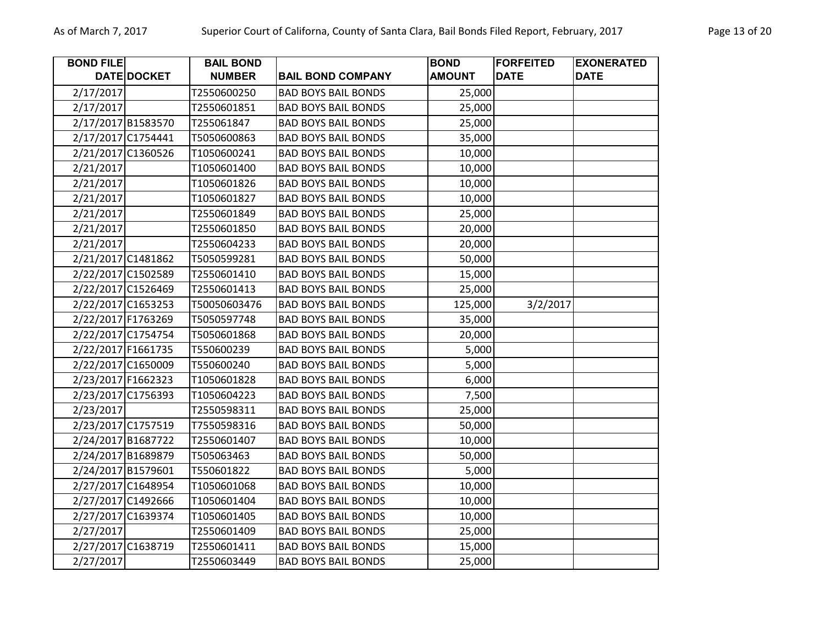| <b>BOND FILE</b> |                    | <b>BAIL BOND</b> |                            | <b>BOND</b>   | <b>FORFEITED</b> | <b>EXONERATED</b> |
|------------------|--------------------|------------------|----------------------------|---------------|------------------|-------------------|
|                  | DATE DOCKET        | <b>NUMBER</b>    | <b>BAIL BOND COMPANY</b>   | <b>AMOUNT</b> | <b>DATE</b>      | <b>DATE</b>       |
| 2/17/2017        |                    | T2550600250      | <b>BAD BOYS BAIL BONDS</b> | 25,000        |                  |                   |
| 2/17/2017        |                    | T2550601851      | <b>BAD BOYS BAIL BONDS</b> | 25,000        |                  |                   |
|                  | 2/17/2017 B1583570 | T255061847       | <b>BAD BOYS BAIL BONDS</b> | 25,000        |                  |                   |
|                  | 2/17/2017 C1754441 | T5050600863      | <b>BAD BOYS BAIL BONDS</b> | 35,000        |                  |                   |
|                  | 2/21/2017 C1360526 | T1050600241      | <b>BAD BOYS BAIL BONDS</b> | 10,000        |                  |                   |
| 2/21/2017        |                    | T1050601400      | <b>BAD BOYS BAIL BONDS</b> | 10,000        |                  |                   |
| 2/21/2017        |                    | T1050601826      | <b>BAD BOYS BAIL BONDS</b> | 10,000        |                  |                   |
| 2/21/2017        |                    | T1050601827      | <b>BAD BOYS BAIL BONDS</b> | 10,000        |                  |                   |
| 2/21/2017        |                    | T2550601849      | <b>BAD BOYS BAIL BONDS</b> | 25,000        |                  |                   |
| 2/21/2017        |                    | T2550601850      | <b>BAD BOYS BAIL BONDS</b> | 20,000        |                  |                   |
| 2/21/2017        |                    | T2550604233      | <b>BAD BOYS BAIL BONDS</b> | 20,000        |                  |                   |
|                  | 2/21/2017 C1481862 | T5050599281      | <b>BAD BOYS BAIL BONDS</b> | 50,000        |                  |                   |
|                  | 2/22/2017 C1502589 | T2550601410      | <b>BAD BOYS BAIL BONDS</b> | 15,000        |                  |                   |
|                  | 2/22/2017 C1526469 | T2550601413      | <b>BAD BOYS BAIL BONDS</b> | 25,000        |                  |                   |
|                  | 2/22/2017 C1653253 | T50050603476     | <b>BAD BOYS BAIL BONDS</b> | 125,000       | 3/2/2017         |                   |
|                  | 2/22/2017 F1763269 | T5050597748      | <b>BAD BOYS BAIL BONDS</b> | 35,000        |                  |                   |
|                  | 2/22/2017 C1754754 | T5050601868      | <b>BAD BOYS BAIL BONDS</b> | 20,000        |                  |                   |
|                  | 2/22/2017 F1661735 | T550600239       | <b>BAD BOYS BAIL BONDS</b> | 5,000         |                  |                   |
|                  | 2/22/2017 C1650009 | T550600240       | <b>BAD BOYS BAIL BONDS</b> | 5,000         |                  |                   |
|                  | 2/23/2017 F1662323 | T1050601828      | <b>BAD BOYS BAIL BONDS</b> | 6,000         |                  |                   |
|                  | 2/23/2017 C1756393 | T1050604223      | <b>BAD BOYS BAIL BONDS</b> | 7,500         |                  |                   |
| 2/23/2017        |                    | T2550598311      | <b>BAD BOYS BAIL BONDS</b> | 25,000        |                  |                   |
|                  | 2/23/2017 C1757519 | T7550598316      | <b>BAD BOYS BAIL BONDS</b> | 50,000        |                  |                   |
|                  | 2/24/2017 B1687722 | T2550601407      | <b>BAD BOYS BAIL BONDS</b> | 10,000        |                  |                   |
|                  | 2/24/2017 B1689879 | T505063463       | <b>BAD BOYS BAIL BONDS</b> | 50,000        |                  |                   |
|                  | 2/24/2017 B1579601 | T550601822       | <b>BAD BOYS BAIL BONDS</b> | 5,000         |                  |                   |
|                  | 2/27/2017 C1648954 | T1050601068      | <b>BAD BOYS BAIL BONDS</b> | 10,000        |                  |                   |
|                  | 2/27/2017 C1492666 | T1050601404      | <b>BAD BOYS BAIL BONDS</b> | 10,000        |                  |                   |
|                  | 2/27/2017 C1639374 | T1050601405      | <b>BAD BOYS BAIL BONDS</b> | 10,000        |                  |                   |
| 2/27/2017        |                    | T2550601409      | <b>BAD BOYS BAIL BONDS</b> | 25,000        |                  |                   |
|                  | 2/27/2017 C1638719 | T2550601411      | <b>BAD BOYS BAIL BONDS</b> | 15,000        |                  |                   |
| 2/27/2017        |                    | T2550603449      | <b>BAD BOYS BAIL BONDS</b> | 25,000        |                  |                   |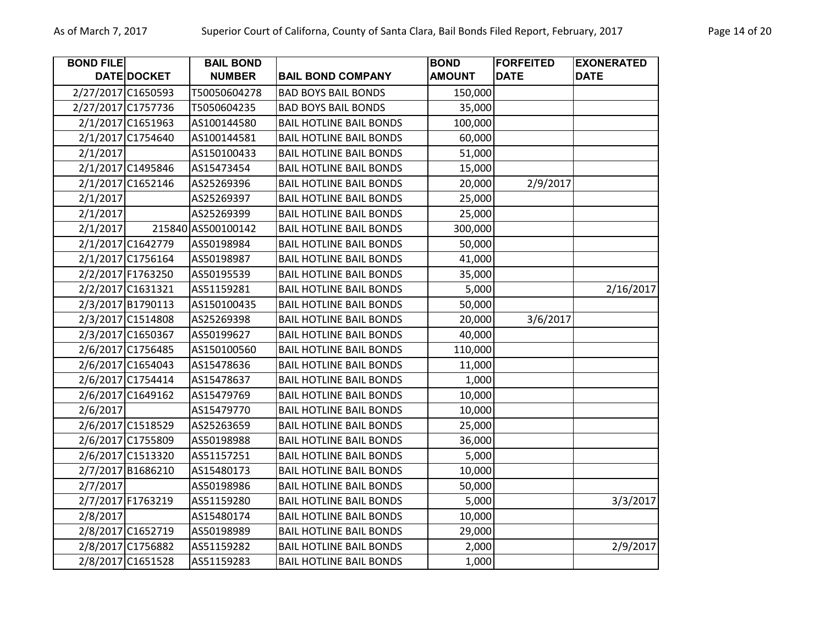| <b>BOND FILE</b> |                    | <b>BAIL BOND</b>   |                                | <b>BOND</b>   | <b>FORFEITED</b> | <b>EXONERATED</b> |
|------------------|--------------------|--------------------|--------------------------------|---------------|------------------|-------------------|
|                  | <b>DATE DOCKET</b> | <b>NUMBER</b>      | <b>BAIL BOND COMPANY</b>       | <b>AMOUNT</b> | <b>DATE</b>      | <b>DATE</b>       |
|                  | 2/27/2017 C1650593 | T50050604278       | <b>BAD BOYS BAIL BONDS</b>     | 150,000       |                  |                   |
|                  | 2/27/2017 C1757736 | T5050604235        | <b>BAD BOYS BAIL BONDS</b>     | 35,000        |                  |                   |
|                  | 2/1/2017 C1651963  | AS100144580        | <b>BAIL HOTLINE BAIL BONDS</b> | 100,000       |                  |                   |
|                  | 2/1/2017 C1754640  | AS100144581        | <b>BAIL HOTLINE BAIL BONDS</b> | 60,000        |                  |                   |
| 2/1/2017         |                    | AS150100433        | <b>BAIL HOTLINE BAIL BONDS</b> | 51,000        |                  |                   |
|                  | 2/1/2017 C1495846  | AS15473454         | <b>BAIL HOTLINE BAIL BONDS</b> | 15,000        |                  |                   |
|                  | 2/1/2017 C1652146  | AS25269396         | <b>BAIL HOTLINE BAIL BONDS</b> | 20,000        | 2/9/2017         |                   |
| 2/1/2017         |                    | AS25269397         | <b>BAIL HOTLINE BAIL BONDS</b> | 25,000        |                  |                   |
| 2/1/2017         |                    | AS25269399         | <b>BAIL HOTLINE BAIL BONDS</b> | 25,000        |                  |                   |
| 2/1/2017         |                    | 215840 AS500100142 | <b>BAIL HOTLINE BAIL BONDS</b> | 300,000       |                  |                   |
|                  | 2/1/2017 C1642779  | AS50198984         | <b>BAIL HOTLINE BAIL BONDS</b> | 50,000        |                  |                   |
|                  | 2/1/2017 C1756164  | AS50198987         | <b>BAIL HOTLINE BAIL BONDS</b> | 41,000        |                  |                   |
|                  | 2/2/2017 F1763250  | AS50195539         | <b>BAIL HOTLINE BAIL BONDS</b> | 35,000        |                  |                   |
|                  | 2/2/2017 C1631321  | AS51159281         | <b>BAIL HOTLINE BAIL BONDS</b> | 5,000         |                  | 2/16/2017         |
|                  | 2/3/2017 B1790113  | AS150100435        | <b>BAIL HOTLINE BAIL BONDS</b> | 50,000        |                  |                   |
|                  | 2/3/2017 C1514808  | AS25269398         | <b>BAIL HOTLINE BAIL BONDS</b> | 20,000        | 3/6/2017         |                   |
|                  | 2/3/2017 C1650367  | AS50199627         | <b>BAIL HOTLINE BAIL BONDS</b> | 40,000        |                  |                   |
|                  | 2/6/2017 C1756485  | AS150100560        | <b>BAIL HOTLINE BAIL BONDS</b> | 110,000       |                  |                   |
|                  | 2/6/2017 C1654043  | AS15478636         | <b>BAIL HOTLINE BAIL BONDS</b> | 11,000        |                  |                   |
|                  | 2/6/2017 C1754414  | AS15478637         | <b>BAIL HOTLINE BAIL BONDS</b> | 1,000         |                  |                   |
|                  | 2/6/2017 C1649162  | AS15479769         | <b>BAIL HOTLINE BAIL BONDS</b> | 10,000        |                  |                   |
| 2/6/2017         |                    | AS15479770         | <b>BAIL HOTLINE BAIL BONDS</b> | 10,000        |                  |                   |
|                  | 2/6/2017 C1518529  | AS25263659         | <b>BAIL HOTLINE BAIL BONDS</b> | 25,000        |                  |                   |
|                  | 2/6/2017 C1755809  | AS50198988         | <b>BAIL HOTLINE BAIL BONDS</b> | 36,000        |                  |                   |
|                  | 2/6/2017 C1513320  | AS51157251         | <b>BAIL HOTLINE BAIL BONDS</b> | 5,000         |                  |                   |
|                  | 2/7/2017 B1686210  | AS15480173         | <b>BAIL HOTLINE BAIL BONDS</b> | 10,000        |                  |                   |
| 2/7/2017         |                    | AS50198986         | <b>BAIL HOTLINE BAIL BONDS</b> | 50,000        |                  |                   |
|                  | 2/7/2017 F1763219  | AS51159280         | <b>BAIL HOTLINE BAIL BONDS</b> | 5,000         |                  | 3/3/2017          |
| 2/8/2017         |                    | AS15480174         | <b>BAIL HOTLINE BAIL BONDS</b> | 10,000        |                  |                   |
|                  | 2/8/2017 C1652719  | AS50198989         | <b>BAIL HOTLINE BAIL BONDS</b> | 29,000        |                  |                   |
|                  | 2/8/2017 C1756882  | AS51159282         | <b>BAIL HOTLINE BAIL BONDS</b> | 2,000         |                  | 2/9/2017          |
|                  | 2/8/2017 C1651528  | AS51159283         | <b>BAIL HOTLINE BAIL BONDS</b> | 1,000         |                  |                   |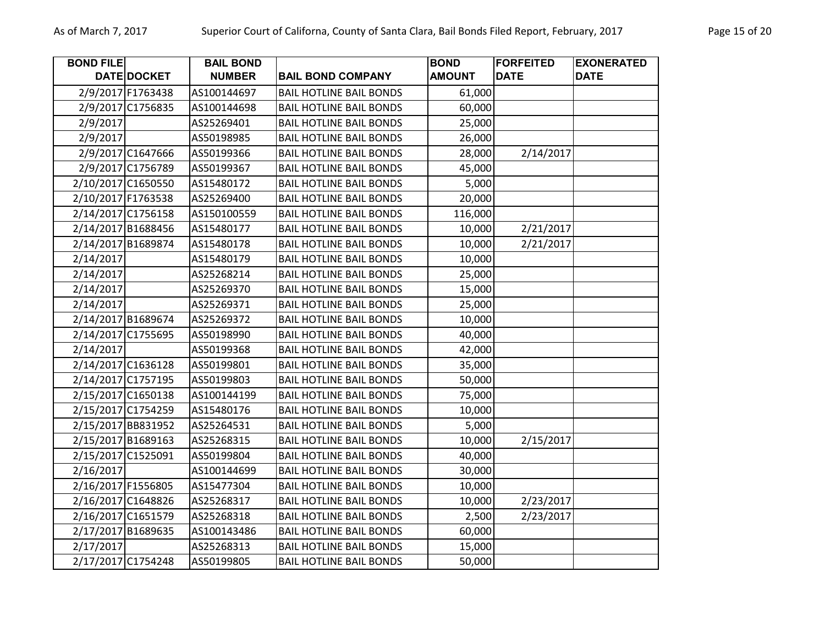| <b>BOND FILE</b> |                    | <b>BAIL BOND</b> |                                | <b>BOND</b>   | <b>FORFEITED</b> | <b>EXONERATED</b> |
|------------------|--------------------|------------------|--------------------------------|---------------|------------------|-------------------|
|                  | <b>DATE DOCKET</b> | <b>NUMBER</b>    | <b>BAIL BOND COMPANY</b>       | <b>AMOUNT</b> | <b>DATE</b>      | <b>DATE</b>       |
|                  | 2/9/2017 F1763438  | AS100144697      | <b>BAIL HOTLINE BAIL BONDS</b> | 61,000        |                  |                   |
|                  | 2/9/2017 C1756835  | AS100144698      | <b>BAIL HOTLINE BAIL BONDS</b> | 60,000        |                  |                   |
| 2/9/2017         |                    | AS25269401       | <b>BAIL HOTLINE BAIL BONDS</b> | 25,000        |                  |                   |
| 2/9/2017         |                    | AS50198985       | <b>BAIL HOTLINE BAIL BONDS</b> | 26,000        |                  |                   |
|                  | 2/9/2017 C1647666  | AS50199366       | <b>BAIL HOTLINE BAIL BONDS</b> | 28,000        | 2/14/2017        |                   |
|                  | 2/9/2017 C1756789  | AS50199367       | <b>BAIL HOTLINE BAIL BONDS</b> | 45,000        |                  |                   |
|                  | 2/10/2017 C1650550 | AS15480172       | <b>BAIL HOTLINE BAIL BONDS</b> | 5,000         |                  |                   |
|                  | 2/10/2017 F1763538 | AS25269400       | <b>BAIL HOTLINE BAIL BONDS</b> | 20,000        |                  |                   |
|                  | 2/14/2017 C1756158 | AS150100559      | <b>BAIL HOTLINE BAIL BONDS</b> | 116,000       |                  |                   |
|                  | 2/14/2017 B1688456 | AS15480177       | <b>BAIL HOTLINE BAIL BONDS</b> | 10,000        | 2/21/2017        |                   |
|                  | 2/14/2017 B1689874 | AS15480178       | <b>BAIL HOTLINE BAIL BONDS</b> | 10,000        | 2/21/2017        |                   |
| 2/14/2017        |                    | AS15480179       | <b>BAIL HOTLINE BAIL BONDS</b> | 10,000        |                  |                   |
| 2/14/2017        |                    | AS25268214       | <b>BAIL HOTLINE BAIL BONDS</b> | 25,000        |                  |                   |
| 2/14/2017        |                    | AS25269370       | <b>BAIL HOTLINE BAIL BONDS</b> | 15,000        |                  |                   |
| 2/14/2017        |                    | AS25269371       | <b>BAIL HOTLINE BAIL BONDS</b> | 25,000        |                  |                   |
|                  | 2/14/2017 B1689674 | AS25269372       | <b>BAIL HOTLINE BAIL BONDS</b> | 10,000        |                  |                   |
|                  | 2/14/2017 C1755695 | AS50198990       | <b>BAIL HOTLINE BAIL BONDS</b> | 40,000        |                  |                   |
| 2/14/2017        |                    | AS50199368       | <b>BAIL HOTLINE BAIL BONDS</b> | 42,000        |                  |                   |
|                  | 2/14/2017 C1636128 | AS50199801       | <b>BAIL HOTLINE BAIL BONDS</b> | 35,000        |                  |                   |
|                  | 2/14/2017 C1757195 | AS50199803       | <b>BAIL HOTLINE BAIL BONDS</b> | 50,000        |                  |                   |
|                  | 2/15/2017 C1650138 | AS100144199      | <b>BAIL HOTLINE BAIL BONDS</b> | 75,000        |                  |                   |
|                  | 2/15/2017 C1754259 | AS15480176       | <b>BAIL HOTLINE BAIL BONDS</b> | 10,000        |                  |                   |
|                  | 2/15/2017 BB831952 | AS25264531       | <b>BAIL HOTLINE BAIL BONDS</b> | 5,000         |                  |                   |
|                  | 2/15/2017 B1689163 | AS25268315       | <b>BAIL HOTLINE BAIL BONDS</b> | 10,000        | 2/15/2017        |                   |
|                  | 2/15/2017 C1525091 | AS50199804       | <b>BAIL HOTLINE BAIL BONDS</b> | 40,000        |                  |                   |
| 2/16/2017        |                    | AS100144699      | <b>BAIL HOTLINE BAIL BONDS</b> | 30,000        |                  |                   |
|                  | 2/16/2017 F1556805 | AS15477304       | <b>BAIL HOTLINE BAIL BONDS</b> | 10,000        |                  |                   |
|                  | 2/16/2017 C1648826 | AS25268317       | <b>BAIL HOTLINE BAIL BONDS</b> | 10,000        | 2/23/2017        |                   |
|                  | 2/16/2017 C1651579 | AS25268318       | <b>BAIL HOTLINE BAIL BONDS</b> | 2,500         | 2/23/2017        |                   |
|                  | 2/17/2017 B1689635 | AS100143486      | <b>BAIL HOTLINE BAIL BONDS</b> | 60,000        |                  |                   |
| 2/17/2017        |                    | AS25268313       | <b>BAIL HOTLINE BAIL BONDS</b> | 15,000        |                  |                   |
|                  | 2/17/2017 C1754248 | AS50199805       | <b>BAIL HOTLINE BAIL BONDS</b> | 50,000        |                  |                   |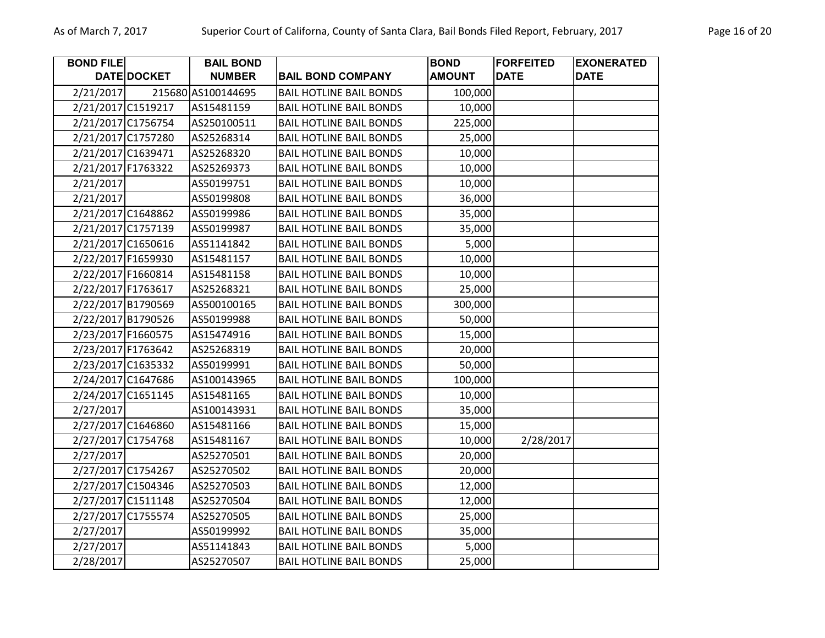| <b>BOND FILE</b>   |                    | <b>BAIL BOND</b>   |                                | <b>BOND</b>   | <b>FORFEITED</b> | <b>EXONERATED</b> |
|--------------------|--------------------|--------------------|--------------------------------|---------------|------------------|-------------------|
|                    | <b>DATE DOCKET</b> | <b>NUMBER</b>      | <b>BAIL BOND COMPANY</b>       | <b>AMOUNT</b> | <b>DATE</b>      | <b>DATE</b>       |
| 2/21/2017          |                    | 215680 AS100144695 | <b>BAIL HOTLINE BAIL BONDS</b> | 100,000       |                  |                   |
|                    | 2/21/2017 C1519217 | AS15481159         | <b>BAIL HOTLINE BAIL BONDS</b> | 10,000        |                  |                   |
|                    | 2/21/2017 C1756754 | AS250100511        | <b>BAIL HOTLINE BAIL BONDS</b> | 225,000       |                  |                   |
|                    | 2/21/2017 C1757280 | AS25268314         | <b>BAIL HOTLINE BAIL BONDS</b> | 25,000        |                  |                   |
|                    | 2/21/2017 C1639471 | AS25268320         | <b>BAIL HOTLINE BAIL BONDS</b> | 10,000        |                  |                   |
|                    | 2/21/2017 F1763322 | AS25269373         | <b>BAIL HOTLINE BAIL BONDS</b> | 10,000        |                  |                   |
| 2/21/2017          |                    | AS50199751         | <b>BAIL HOTLINE BAIL BONDS</b> | 10,000        |                  |                   |
| 2/21/2017          |                    | AS50199808         | <b>BAIL HOTLINE BAIL BONDS</b> | 36,000        |                  |                   |
|                    | 2/21/2017 C1648862 | AS50199986         | <b>BAIL HOTLINE BAIL BONDS</b> | 35,000        |                  |                   |
|                    | 2/21/2017 C1757139 | AS50199987         | <b>BAIL HOTLINE BAIL BONDS</b> | 35,000        |                  |                   |
|                    | 2/21/2017 C1650616 | AS51141842         | <b>BAIL HOTLINE BAIL BONDS</b> | 5,000         |                  |                   |
|                    | 2/22/2017 F1659930 | AS15481157         | <b>BAIL HOTLINE BAIL BONDS</b> | 10,000        |                  |                   |
|                    | 2/22/2017 F1660814 | AS15481158         | <b>BAIL HOTLINE BAIL BONDS</b> | 10,000        |                  |                   |
| 2/22/2017 F1763617 |                    | AS25268321         | <b>BAIL HOTLINE BAIL BONDS</b> | 25,000        |                  |                   |
|                    | 2/22/2017 B1790569 | AS500100165        | <b>BAIL HOTLINE BAIL BONDS</b> | 300,000       |                  |                   |
|                    | 2/22/2017 B1790526 | AS50199988         | <b>BAIL HOTLINE BAIL BONDS</b> | 50,000        |                  |                   |
|                    | 2/23/2017 F1660575 | AS15474916         | <b>BAIL HOTLINE BAIL BONDS</b> | 15,000        |                  |                   |
| 2/23/2017 F1763642 |                    | AS25268319         | <b>BAIL HOTLINE BAIL BONDS</b> | 20,000        |                  |                   |
|                    | 2/23/2017 C1635332 | AS50199991         | <b>BAIL HOTLINE BAIL BONDS</b> | 50,000        |                  |                   |
|                    | 2/24/2017 C1647686 | AS100143965        | <b>BAIL HOTLINE BAIL BONDS</b> | 100,000       |                  |                   |
|                    | 2/24/2017 C1651145 | AS15481165         | <b>BAIL HOTLINE BAIL BONDS</b> | 10,000        |                  |                   |
| 2/27/2017          |                    | AS100143931        | <b>BAIL HOTLINE BAIL BONDS</b> | 35,000        |                  |                   |
|                    | 2/27/2017 C1646860 | AS15481166         | <b>BAIL HOTLINE BAIL BONDS</b> | 15,000        |                  |                   |
|                    | 2/27/2017 C1754768 | AS15481167         | <b>BAIL HOTLINE BAIL BONDS</b> | 10,000        | 2/28/2017        |                   |
| 2/27/2017          |                    | AS25270501         | <b>BAIL HOTLINE BAIL BONDS</b> | 20,000        |                  |                   |
|                    | 2/27/2017 C1754267 | AS25270502         | <b>BAIL HOTLINE BAIL BONDS</b> | 20,000        |                  |                   |
|                    | 2/27/2017 C1504346 | AS25270503         | <b>BAIL HOTLINE BAIL BONDS</b> | 12,000        |                  |                   |
|                    | 2/27/2017 C1511148 | AS25270504         | <b>BAIL HOTLINE BAIL BONDS</b> | 12,000        |                  |                   |
|                    | 2/27/2017 C1755574 | AS25270505         | <b>BAIL HOTLINE BAIL BONDS</b> | 25,000        |                  |                   |
| 2/27/2017          |                    | AS50199992         | <b>BAIL HOTLINE BAIL BONDS</b> | 35,000        |                  |                   |
| 2/27/2017          |                    | AS51141843         | <b>BAIL HOTLINE BAIL BONDS</b> | 5,000         |                  |                   |
| 2/28/2017          |                    | AS25270507         | <b>BAIL HOTLINE BAIL BONDS</b> | 25,000        |                  |                   |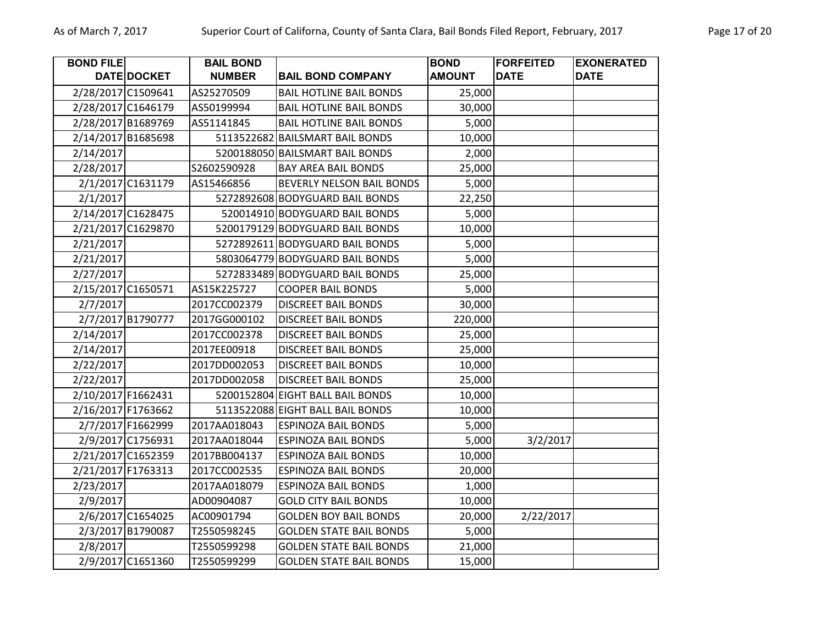| <b>BOND FILE</b> |                    | <b>BAIL BOND</b> |                                  | <b>BOND</b>   | <b>FORFEITED</b> | <b>EXONERATED</b> |
|------------------|--------------------|------------------|----------------------------------|---------------|------------------|-------------------|
|                  | <b>DATE DOCKET</b> | <b>NUMBER</b>    | <b>BAIL BOND COMPANY</b>         | <b>AMOUNT</b> | <b>DATE</b>      | <b>DATE</b>       |
|                  | 2/28/2017 C1509641 | AS25270509       | <b>BAIL HOTLINE BAIL BONDS</b>   | 25,000        |                  |                   |
|                  | 2/28/2017 C1646179 | AS50199994       | <b>BAIL HOTLINE BAIL BONDS</b>   | 30,000        |                  |                   |
|                  | 2/28/2017 B1689769 | AS51141845       | <b>BAIL HOTLINE BAIL BONDS</b>   | 5,000         |                  |                   |
|                  | 2/14/2017 B1685698 |                  | 5113522682 BAILSMART BAIL BONDS  | 10,000        |                  |                   |
| 2/14/2017        |                    |                  | 5200188050 BAILSMART BAIL BONDS  | 2,000         |                  |                   |
| 2/28/2017        |                    | S2602590928      | <b>BAY AREA BAIL BONDS</b>       | 25,000        |                  |                   |
|                  | 2/1/2017 C1631179  | AS15466856       | BEVERLY NELSON BAIL BONDS        | 5,000         |                  |                   |
| 2/1/2017         |                    |                  | 5272892608 BODYGUARD BAIL BONDS  | 22,250        |                  |                   |
|                  | 2/14/2017 C1628475 |                  | 520014910 BODYGUARD BAIL BONDS   | 5,000         |                  |                   |
|                  | 2/21/2017 C1629870 |                  | 5200179129 BODYGUARD BAIL BONDS  | 10,000        |                  |                   |
| 2/21/2017        |                    |                  | 5272892611 BODYGUARD BAIL BONDS  | 5,000         |                  |                   |
| 2/21/2017        |                    |                  | 5803064779 BODYGUARD BAIL BONDS  | 5,000         |                  |                   |
| 2/27/2017        |                    |                  | 5272833489 BODYGUARD BAIL BONDS  | 25,000        |                  |                   |
|                  | 2/15/2017 C1650571 | AS15K225727      | <b>COOPER BAIL BONDS</b>         | 5,000         |                  |                   |
| 2/7/2017         |                    | 2017CC002379     | <b>DISCREET BAIL BONDS</b>       | 30,000        |                  |                   |
|                  | 2/7/2017 B1790777  | 2017GG000102     | <b>DISCREET BAIL BONDS</b>       | 220,000       |                  |                   |
| 2/14/2017        |                    | 2017CC002378     | <b>DISCREET BAIL BONDS</b>       | 25,000        |                  |                   |
| 2/14/2017        |                    | 2017EE00918      | <b>DISCREET BAIL BONDS</b>       | 25,000        |                  |                   |
| 2/22/2017        |                    | 2017DD002053     | <b>DISCREET BAIL BONDS</b>       | 10,000        |                  |                   |
| 2/22/2017        |                    | 2017DD002058     | <b>DISCREET BAIL BONDS</b>       | 25,000        |                  |                   |
|                  | 2/10/2017 F1662431 |                  | 5200152804 EIGHT BALL BAIL BONDS | 10,000        |                  |                   |
|                  | 2/16/2017 F1763662 |                  | 5113522088 EIGHT BALL BAIL BONDS | 10,000        |                  |                   |
|                  | 2/7/2017 F1662999  | 2017AA018043     | <b>ESPINOZA BAIL BONDS</b>       | 5,000         |                  |                   |
|                  | 2/9/2017 C1756931  | 2017AA018044     | <b>ESPINOZA BAIL BONDS</b>       | 5,000         | 3/2/2017         |                   |
|                  | 2/21/2017 C1652359 | 2017BB004137     | <b>ESPINOZA BAIL BONDS</b>       | 10,000        |                  |                   |
|                  | 2/21/2017 F1763313 | 2017CC002535     | <b>ESPINOZA BAIL BONDS</b>       | 20,000        |                  |                   |
| 2/23/2017        |                    | 2017AA018079     | <b>ESPINOZA BAIL BONDS</b>       | 1,000         |                  |                   |
| 2/9/2017         |                    | AD00904087       | <b>GOLD CITY BAIL BONDS</b>      | 10,000        |                  |                   |
|                  | 2/6/2017 C1654025  | AC00901794       | <b>GOLDEN BOY BAIL BONDS</b>     | 20,000        | 2/22/2017        |                   |
|                  | 2/3/2017 B1790087  | T2550598245      | <b>GOLDEN STATE BAIL BONDS</b>   | 5,000         |                  |                   |
| 2/8/2017         |                    | T2550599298      | <b>GOLDEN STATE BAIL BONDS</b>   | 21,000        |                  |                   |
|                  | 2/9/2017 C1651360  | T2550599299      | <b>GOLDEN STATE BAIL BONDS</b>   | 15,000        |                  |                   |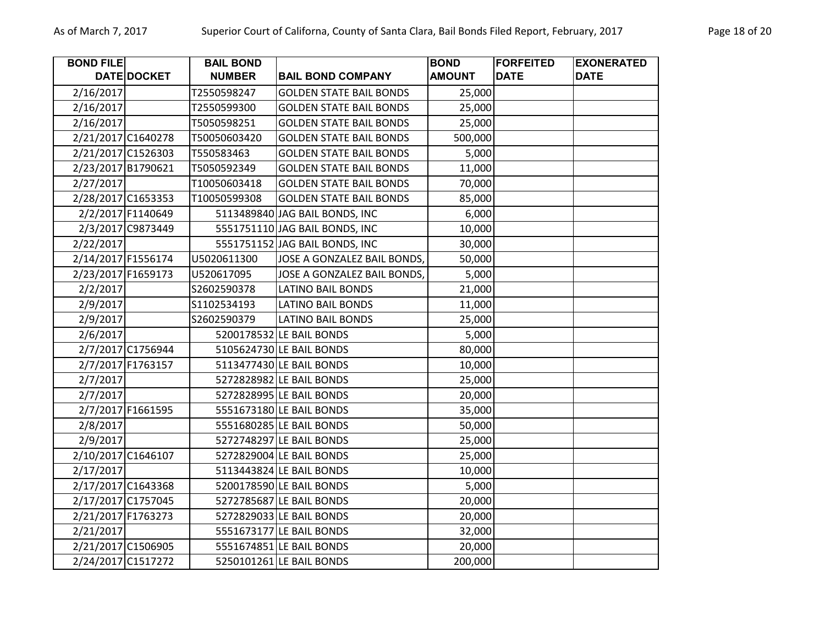| <b>BOND FILE</b> |                    | <b>BAIL BOND</b> |                                | <b>BOND</b>   | <b>FORFEITED</b> | <b>EXONERATED</b> |
|------------------|--------------------|------------------|--------------------------------|---------------|------------------|-------------------|
|                  | DATE DOCKET        | <b>NUMBER</b>    | <b>BAIL BOND COMPANY</b>       | <b>AMOUNT</b> | <b>DATE</b>      | <b>DATE</b>       |
| 2/16/2017        |                    | T2550598247      | <b>GOLDEN STATE BAIL BONDS</b> | 25,000        |                  |                   |
| 2/16/2017        |                    | T2550599300      | <b>GOLDEN STATE BAIL BONDS</b> | 25,000        |                  |                   |
| 2/16/2017        |                    | T5050598251      | <b>GOLDEN STATE BAIL BONDS</b> | 25,000        |                  |                   |
|                  | 2/21/2017 C1640278 | T50050603420     | <b>GOLDEN STATE BAIL BONDS</b> | 500,000       |                  |                   |
|                  | 2/21/2017 C1526303 | T550583463       | <b>GOLDEN STATE BAIL BONDS</b> | 5,000         |                  |                   |
|                  | 2/23/2017 B1790621 | T5050592349      | <b>GOLDEN STATE BAIL BONDS</b> | 11,000        |                  |                   |
| 2/27/2017        |                    | T10050603418     | <b>GOLDEN STATE BAIL BONDS</b> | 70,000        |                  |                   |
|                  | 2/28/2017 C1653353 | T10050599308     | <b>GOLDEN STATE BAIL BONDS</b> | 85,000        |                  |                   |
|                  | 2/2/2017 F1140649  |                  | 5113489840 JAG BAIL BONDS, INC | 6,000         |                  |                   |
|                  | 2/3/2017 C9873449  |                  | 5551751110 JAG BAIL BONDS, INC | 10,000        |                  |                   |
| 2/22/2017        |                    |                  | 5551751152 JAG BAIL BONDS, INC | 30,000        |                  |                   |
|                  | 2/14/2017 F1556174 | U5020611300      | JOSE A GONZALEZ BAIL BONDS,    | 50,000        |                  |                   |
|                  | 2/23/2017 F1659173 | U520617095       | JOSE A GONZALEZ BAIL BONDS,    | 5,000         |                  |                   |
| 2/2/2017         |                    | S2602590378      | <b>LATINO BAIL BONDS</b>       | 21,000        |                  |                   |
| 2/9/2017         |                    | S1102534193      | <b>LATINO BAIL BONDS</b>       | 11,000        |                  |                   |
| 2/9/2017         |                    | S2602590379      | <b>LATINO BAIL BONDS</b>       | 25,000        |                  |                   |
| 2/6/2017         |                    |                  | 5200178532 LE BAIL BONDS       | 5,000         |                  |                   |
|                  | 2/7/2017 C1756944  |                  | 5105624730 LE BAIL BONDS       | 80,000        |                  |                   |
|                  | 2/7/2017 F1763157  |                  | 5113477430 LE BAIL BONDS       | 10,000        |                  |                   |
| 2/7/2017         |                    |                  | 5272828982 LE BAIL BONDS       | 25,000        |                  |                   |
| 2/7/2017         |                    |                  | 5272828995 LE BAIL BONDS       | 20,000        |                  |                   |
|                  | 2/7/2017 F1661595  |                  | 5551673180 LE BAIL BONDS       | 35,000        |                  |                   |
| 2/8/2017         |                    |                  | 5551680285 LE BAIL BONDS       | 50,000        |                  |                   |
| 2/9/2017         |                    |                  | 5272748297 LE BAIL BONDS       | 25,000        |                  |                   |
|                  | 2/10/2017 C1646107 |                  | 5272829004 LE BAIL BONDS       | 25,000        |                  |                   |
| 2/17/2017        |                    |                  | 5113443824 LE BAIL BONDS       | 10,000        |                  |                   |
|                  | 2/17/2017 C1643368 |                  | 5200178590 LE BAIL BONDS       | 5,000         |                  |                   |
|                  | 2/17/2017 C1757045 |                  | 5272785687 LE BAIL BONDS       | 20,000        |                  |                   |
|                  | 2/21/2017 F1763273 |                  | 5272829033 LE BAIL BONDS       | 20,000        |                  |                   |
| 2/21/2017        |                    |                  | 5551673177 LE BAIL BONDS       | 32,000        |                  |                   |
|                  | 2/21/2017 C1506905 |                  | 5551674851 LE BAIL BONDS       | 20,000        |                  |                   |
|                  | 2/24/2017 C1517272 |                  | 5250101261 LE BAIL BONDS       | 200,000       |                  |                   |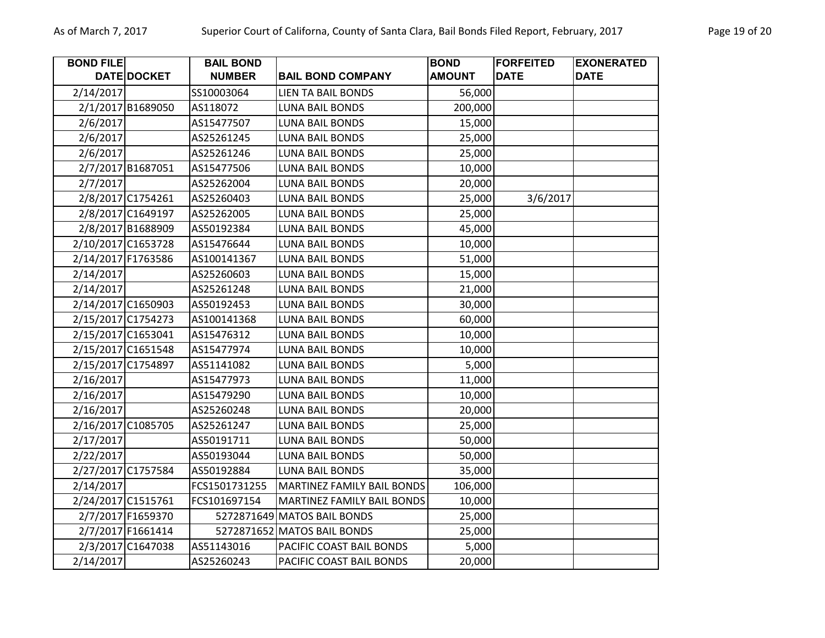| <b>BOND FILE</b> |                    | <b>BAIL BOND</b> |                             | <b>BOND</b>   | <b>FORFEITED</b> | <b>EXONERATED</b> |
|------------------|--------------------|------------------|-----------------------------|---------------|------------------|-------------------|
|                  | <b>DATE DOCKET</b> | <b>NUMBER</b>    | <b>BAIL BOND COMPANY</b>    | <b>AMOUNT</b> | <b>DATE</b>      | <b>DATE</b>       |
| 2/14/2017        |                    | SS10003064       | <b>LIEN TA BAIL BONDS</b>   | 56,000        |                  |                   |
|                  | 2/1/2017 B1689050  | AS118072         | <b>LUNA BAIL BONDS</b>      | 200,000       |                  |                   |
| 2/6/2017         |                    | AS15477507       | <b>LUNA BAIL BONDS</b>      | 15,000        |                  |                   |
| 2/6/2017         |                    | AS25261245       | <b>LUNA BAIL BONDS</b>      | 25,000        |                  |                   |
| 2/6/2017         |                    | AS25261246       | <b>LUNA BAIL BONDS</b>      | 25,000        |                  |                   |
|                  | 2/7/2017 B1687051  | AS15477506       | <b>LUNA BAIL BONDS</b>      | 10,000        |                  |                   |
| 2/7/2017         |                    | AS25262004       | LUNA BAIL BONDS             | 20,000        |                  |                   |
|                  | 2/8/2017 C1754261  | AS25260403       | <b>LUNA BAIL BONDS</b>      | 25,000        | 3/6/2017         |                   |
|                  | 2/8/2017 C1649197  | AS25262005       | <b>LUNA BAIL BONDS</b>      | 25,000        |                  |                   |
|                  | 2/8/2017 B1688909  | AS50192384       | <b>LUNA BAIL BONDS</b>      | 45,000        |                  |                   |
|                  | 2/10/2017 C1653728 | AS15476644       | <b>LUNA BAIL BONDS</b>      | 10,000        |                  |                   |
|                  | 2/14/2017 F1763586 | AS100141367      | <b>LUNA BAIL BONDS</b>      | 51,000        |                  |                   |
| 2/14/2017        |                    | AS25260603       | <b>LUNA BAIL BONDS</b>      | 15,000        |                  |                   |
| 2/14/2017        |                    | AS25261248       | <b>LUNA BAIL BONDS</b>      | 21,000        |                  |                   |
|                  | 2/14/2017 C1650903 | AS50192453       | <b>LUNA BAIL BONDS</b>      | 30,000        |                  |                   |
|                  | 2/15/2017 C1754273 | AS100141368      | <b>LUNA BAIL BONDS</b>      | 60,000        |                  |                   |
|                  | 2/15/2017 C1653041 | AS15476312       | <b>LUNA BAIL BONDS</b>      | 10,000        |                  |                   |
|                  | 2/15/2017 C1651548 | AS15477974       | <b>LUNA BAIL BONDS</b>      | 10,000        |                  |                   |
|                  | 2/15/2017 C1754897 | AS51141082       | <b>LUNA BAIL BONDS</b>      | 5,000         |                  |                   |
| 2/16/2017        |                    | AS15477973       | LUNA BAIL BONDS             | 11,000        |                  |                   |
| 2/16/2017        |                    | AS15479290       | <b>LUNA BAIL BONDS</b>      | 10,000        |                  |                   |
| 2/16/2017        |                    | AS25260248       | <b>LUNA BAIL BONDS</b>      | 20,000        |                  |                   |
|                  | 2/16/2017 C1085705 | AS25261247       | <b>LUNA BAIL BONDS</b>      | 25,000        |                  |                   |
| 2/17/2017        |                    | AS50191711       | <b>LUNA BAIL BONDS</b>      | 50,000        |                  |                   |
| 2/22/2017        |                    | AS50193044       | <b>LUNA BAIL BONDS</b>      | 50,000        |                  |                   |
|                  | 2/27/2017 C1757584 | AS50192884       | <b>LUNA BAIL BONDS</b>      | 35,000        |                  |                   |
| 2/14/2017        |                    | FCS1501731255    | MARTINEZ FAMILY BAIL BONDS  | 106,000       |                  |                   |
|                  | 2/24/2017 C1515761 | FCS101697154     | MARTINEZ FAMILY BAIL BONDS  | 10,000        |                  |                   |
|                  | 2/7/2017 F1659370  |                  | 5272871649 MATOS BAIL BONDS | 25,000        |                  |                   |
|                  | 2/7/2017 F1661414  |                  | 5272871652 MATOS BAIL BONDS | 25,000        |                  |                   |
|                  | 2/3/2017 C1647038  | AS51143016       | PACIFIC COAST BAIL BONDS    | 5,000         |                  |                   |
| 2/14/2017        |                    | AS25260243       | PACIFIC COAST BAIL BONDS    | 20,000        |                  |                   |